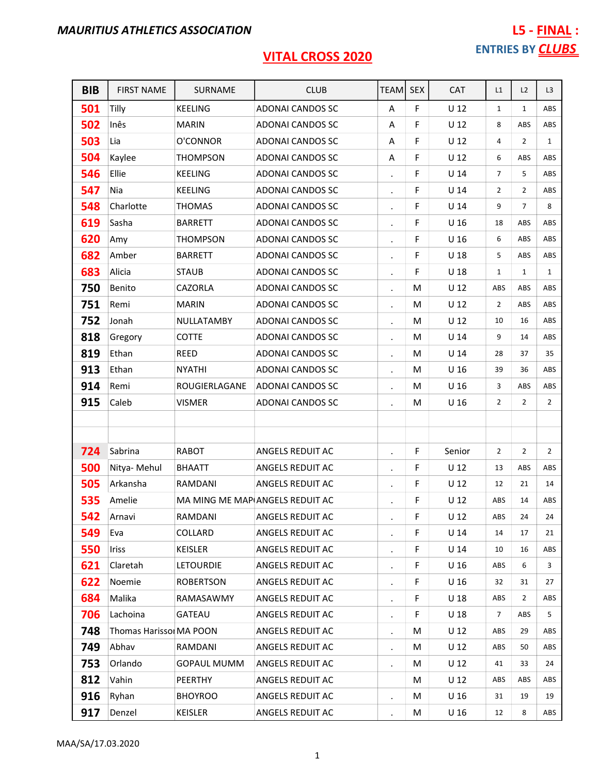| <b>BIB</b> | <b>FIRST NAME</b>       | SURNAME            | <b>CLUB</b>                     | TEAM                 | <b>SEX</b> | <b>CAT</b>      | L1             | L2             | L <sub>3</sub> |
|------------|-------------------------|--------------------|---------------------------------|----------------------|------------|-----------------|----------------|----------------|----------------|
| 501        | Tilly                   | <b>KEELING</b>     | <b>ADONAI CANDOS SC</b>         | A                    | F          | $U$ 12          | $\mathbf{1}$   | $\mathbf{1}$   | ABS            |
| 502        | Inês                    | <b>MARIN</b>       | ADONAI CANDOS SC                | A                    | F          | U <sub>12</sub> | 8              | ABS            | ABS            |
| 503        | Lia                     | O'CONNOR           | ADONAI CANDOS SC                | A                    | F          | U <sub>12</sub> | 4              | $\overline{2}$ | $\mathbf{1}$   |
| 504        | Kaylee                  | <b>THOMPSON</b>    | ADONAI CANDOS SC                | Α                    | F          | U <sub>12</sub> | 6              | ABS            | ABS            |
| 546        | Ellie                   | <b>KEELING</b>     | <b>ADONAI CANDOS SC</b>         | $\ddot{\phantom{a}}$ | F          | U <sub>14</sub> | $\overline{7}$ | 5              | ABS            |
| 547        | Nia                     | <b>KEELING</b>     | <b>ADONAI CANDOS SC</b>         |                      | F          | U <sub>14</sub> | 2              | 2              | ABS            |
| 548        | Charlotte               | <b>THOMAS</b>      | <b>ADONAI CANDOS SC</b>         | $\bullet$            | F          | U <sub>14</sub> | 9              | $\overline{7}$ | 8              |
| 619        | Sasha                   | <b>BARRETT</b>     | ADONAI CANDOS SC                |                      | F          | U <sub>16</sub> | 18             | ABS            | ABS            |
| 620        | Amy                     | <b>THOMPSON</b>    | ADONAI CANDOS SC                | $\ddot{\phantom{0}}$ | F          | U <sub>16</sub> | 6              | ABS            | ABS            |
| 682        | Amber                   | <b>BARRETT</b>     | ADONAI CANDOS SC                | $\ddot{\phantom{0}}$ | F          | U <sub>18</sub> | 5              | ABS            | ABS            |
| 683        | Alicia                  | <b>STAUB</b>       | ADONAI CANDOS SC                | $\ddot{\phantom{a}}$ | F          | U <sub>18</sub> | $\mathbf{1}$   | $\mathbf{1}$   | $\mathbf{1}$   |
| 750        | Benito                  | CAZORLA            | <b>ADONAI CANDOS SC</b>         | $\bullet$            | M          | U <sub>12</sub> | ABS            | ABS            | ABS            |
| 751        | Remi                    | <b>MARIN</b>       | ADONAI CANDOS SC                |                      | M          | U <sub>12</sub> | $\overline{2}$ | ABS            | ABS            |
| 752        | Jonah                   | NULLATAMBY         | ADONAI CANDOS SC                | $\bullet$            | M          | U <sub>12</sub> | 10             | 16             | ABS            |
| 818        | Gregory                 | <b>COTTE</b>       | ADONAI CANDOS SC                |                      | M          | U <sub>14</sub> | 9              | 14             | ABS            |
| 819        | Ethan                   | REED               | <b>ADONAI CANDOS SC</b>         | $\ddot{\phantom{0}}$ | M          | U <sub>14</sub> | 28             | 37             | 35             |
| 913        | Ethan                   | <b>NYATHI</b>      | ADONAI CANDOS SC                |                      | M          | U <sub>16</sub> | 39             | 36             | ABS            |
| 914        | Remi                    | ROUGIERLAGANE      | <b>ADONAI CANDOS SC</b>         | $\cdot$              | M          | U <sub>16</sub> | 3              | ABS            | ABS            |
| 915        | Caleb                   | <b>VISMER</b>      | ADONAI CANDOS SC                |                      | M          | U <sub>16</sub> | $\overline{2}$ | $\overline{2}$ | $\overline{2}$ |
|            |                         |                    |                                 |                      |            |                 |                |                |                |
|            |                         |                    |                                 |                      |            |                 |                |                |                |
| 724        | Sabrina                 | <b>RABOT</b>       | <b>ANGELS REDUIT AC</b>         |                      | F          | Senior          | $\overline{2}$ | $\overline{2}$ | $\overline{2}$ |
| 500        | Nitya- Mehul            | <b>BHAATT</b>      | ANGELS REDUIT AC                | $\blacksquare$       | F          | U <sub>12</sub> | 13             | ABS            | ABS            |
| 505        | Arkansha                | RAMDANI            | ANGELS REDUIT AC                |                      | F          | U <sub>12</sub> | 12             | 21             | 14             |
| 535        | Amelie                  |                    | MA MING ME MAP ANGELS REDUIT AC | $\cdot$              | F          | U <sub>12</sub> | ABS            | 14             | ABS            |
| 542        | Arnavi                  | RAMDANI            | ANGELS REDUIT AC                | $\bullet$            | F          | $U$ 12          | ABS            | 24             | 24             |
| 549        | Eva                     | COLLARD            | ANGELS REDUIT AC                | $\ddot{\phantom{0}}$ | F          | U <sub>14</sub> | 14             | 17             | 21             |
| 550        | <b>Iriss</b>            | <b>KEISLER</b>     | ANGELS REDUIT AC                | $\bullet$            | F          | U <sub>14</sub> | 10             | 16             | ABS            |
| 621        | Claretah                | <b>LETOURDIE</b>   | ANGELS REDUIT AC                |                      | F          | U <sub>16</sub> | ABS            | 6              | 3              |
| 622        | Noemie                  | <b>ROBERTSON</b>   | ANGELS REDUIT AC                | $\bullet$            | F          | U <sub>16</sub> | 32             | 31             | 27             |
| 684        | Malika                  | RAMASAWMY          | ANGELS REDUIT AC                |                      | F          | U <sub>18</sub> | ABS            | 2              | ABS            |
| 706        | Lachoina                | <b>GATEAU</b>      | ANGELS REDUIT AC                | $\bullet$            | F          | U <sub>18</sub> | 7              | ABS            | 5              |
| 748        | Thomas Harissol MA POON |                    | ANGELS REDUIT AC                | $\bullet$            | М          | $U$ 12          | ABS            | 29             | ABS            |
| 749        | Abhav                   | RAMDANI            | ANGELS REDUIT AC                | $\bullet$            | M          | U <sub>12</sub> | ABS            | 50             | ABS            |
| 753        | Orlando                 | <b>GOPAUL MUMM</b> | ANGELS REDUIT AC                | $\bullet$            | М          | U <sub>12</sub> | 41             | 33             | 24             |
| 812        | Vahin                   | PEERTHY            | ANGELS REDUIT AC                |                      | M          | U <sub>12</sub> | ABS            | ABS            | ABS            |
| 916        | Ryhan                   | <b>BHOYROO</b>     | ANGELS REDUIT AC                | $\blacksquare$       | М          | U <sub>16</sub> | 31             | 19             | 19             |
| 917        | Denzel                  | <b>KEISLER</b>     | ANGELS REDUIT AC                |                      | M          | U <sub>16</sub> | 12             | 8              | ABS            |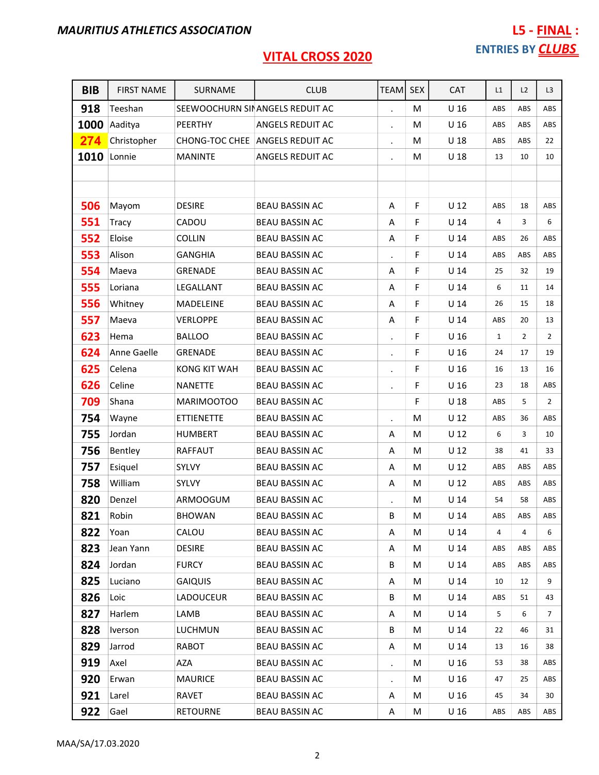| <b>BIB</b> | <b>FIRST NAME</b> | SURNAME             | <b>CLUB</b>                     | TEAM                 | <b>SEX</b> | CAT             | L1           | L2             | L3             |
|------------|-------------------|---------------------|---------------------------------|----------------------|------------|-----------------|--------------|----------------|----------------|
| 918        | Teeshan           |                     | SEEWOOCHURN SINANGELS REDUIT AC |                      | M          | U <sub>16</sub> | ABS          | ABS            | ABS            |
| 1000       | Aaditya           | PEERTHY             | ANGELS REDUIT AC                | $\bullet$            | M          | U <sub>16</sub> | ABS          | ABS            | ABS            |
| 274        | Christopher       |                     | CHONG-TOC CHEE ANGELS REDUIT AC | $\cdot$              | М          | U <sub>18</sub> | ABS          | ABS            | 22             |
| 1010       | Lonnie            | <b>MANINTE</b>      | ANGELS REDUIT AC                | $\cdot$              | M          | $U$ 18          | 13           | 10             | 10             |
|            |                   |                     |                                 |                      |            |                 |              |                |                |
|            |                   |                     |                                 |                      |            |                 |              |                |                |
| 506        | Mayom             | <b>DESIRE</b>       | <b>BEAU BASSIN AC</b>           | A                    | F          | $U$ 12          | ABS          | 18             | ABS            |
| 551        | <b>Tracy</b>      | CADOU               | <b>BEAU BASSIN AC</b>           | A                    | F          | U 14            | 4            | 3              | 6              |
| 552        | Eloise            | <b>COLLIN</b>       | <b>BEAU BASSIN AC</b>           | Α                    | F          | $U$ 14          | ABS          | 26             | ABS            |
| 553        | Alison            | <b>GANGHIA</b>      | <b>BEAU BASSIN AC</b>           |                      | F          | U <sub>14</sub> | ABS          | ABS            | ABS            |
| 554        | Maeva             | <b>GRENADE</b>      | <b>BEAU BASSIN AC</b>           | Α                    | F          | $U$ 14          | 25           | 32             | 19             |
| 555        | Loriana           | LEGALLANT           | <b>BEAU BASSIN AC</b>           | Α                    | F          | U <sub>14</sub> | 6            | 11             | 14             |
| 556        | Whitney           | MADELEINE           | <b>BEAU BASSIN AC</b>           | Α                    | F          | $U$ 14          | 26           | 15             | 18             |
| 557        | Maeva             | <b>VERLOPPE</b>     | <b>BEAU BASSIN AC</b>           | Α                    | F          | U <sub>14</sub> | ABS          | 20             | 13             |
| 623        | Hema              | <b>BALLOO</b>       | <b>BEAU BASSIN AC</b>           | $\bullet$            | F          | U <sub>16</sub> | $\mathbf{1}$ | $\overline{2}$ | $\overline{2}$ |
| 624        | Anne Gaelle       | <b>GRENADE</b>      | <b>BEAU BASSIN AC</b>           |                      | F          | U <sub>16</sub> | 24           | 17             | 19             |
| 625        | Celena            | <b>KONG KIT WAH</b> | <b>BEAU BASSIN AC</b>           | $\bullet$            | F          | U <sub>16</sub> | 16           | 13             | 16             |
| 626        | Celine            | <b>NANETTE</b>      | <b>BEAU BASSIN AC</b>           | $\blacksquare$       | F          | U <sub>16</sub> | 23           | 18             | ABS            |
| 709        | Shana             | MARIMOOTOO          | <b>BEAU BASSIN AC</b>           |                      | F          | U <sub>18</sub> | ABS          | 5              | $\overline{2}$ |
| 754        | Wayne             | <b>ETTIENETTE</b>   | <b>BEAU BASSIN AC</b>           | $\ddot{\phantom{0}}$ | M          | U <sub>12</sub> | ABS          | 36             | ABS            |
| 755        | Jordan            | <b>HUMBERT</b>      | <b>BEAU BASSIN AC</b>           | Α                    | M          | U <sub>12</sub> | 6            | 3              | 10             |
| 756        | Bentley           | <b>RAFFAUT</b>      | <b>BEAU BASSIN AC</b>           | Α                    | M          | $U$ 12          | 38           | 41             | 33             |
| 757        | Esiquel           | SYLVY               | <b>BEAU BASSIN AC</b>           | Α                    | M          | U <sub>12</sub> | ABS          | ABS            | ABS            |
| 758        | William           | SYLVY               | <b>BEAU BASSIN AC</b>           | Α                    | М          | U <sub>12</sub> | ABS          | ABS            | ABS            |
| 820        | Denzel            | <b>ARMOOGUM</b>     | <b>BEAU BASSIN AC</b>           |                      | M          | U <sub>14</sub> | 54           | 58             | ABS            |
| 821        | Robin             | <b>BHOWAN</b>       | <b>BEAU BASSIN AC</b>           | B                    | M          | $U$ 14          | ABS          | ABS            | ABS            |
| 822        | Yoan              | CALOU               | <b>BEAU BASSIN AC</b>           | A                    | M          | U <sub>14</sub> | 4            | 4              | 6              |
| 823        | Jean Yann         | <b>DESIRE</b>       | <b>BEAU BASSIN AC</b>           | A                    | M          | U <sub>14</sub> | ABS          | ABS            | ABS            |
| 824        | Jordan            | <b>FURCY</b>        | <b>BEAU BASSIN AC</b>           | B                    | М          | U <sub>14</sub> | ABS          | ABS            | ABS            |
| 825        | Luciano           | <b>GAIQUIS</b>      | <b>BEAU BASSIN AC</b>           | A                    | M          | U <sub>14</sub> | 10           | 12             | 9              |
| 826        | Loic              | LADOUCEUR           | <b>BEAU BASSIN AC</b>           | В                    | M          | U <sub>14</sub> | ABS          | 51             | 43             |
| 827        | Harlem            | LAMB                | <b>BEAU BASSIN AC</b>           | A                    | M          | U <sub>14</sub> | 5            | 6              | 7              |
| 828        | Iverson           | <b>LUCHMUN</b>      | <b>BEAU BASSIN AC</b>           | В                    | М          | U <sub>14</sub> | 22           | 46             | 31             |
| 829        | Jarrod            | <b>RABOT</b>        | BEAU BASSIN AC                  | Α                    | M          | U <sub>14</sub> | 13           | 16             | 38             |
| 919        | Axel              | AZA                 | <b>BEAU BASSIN AC</b>           | $\bullet$            | M          | U <sub>16</sub> | 53           | 38             | ABS            |
| 920        | Erwan             | <b>MAURICE</b>      | <b>BEAU BASSIN AC</b>           | $\blacksquare$       | M          | U <sub>16</sub> | 47           | 25             | ABS            |
| 921        | Larel             | RAVET               | BEAU BASSIN AC                  | A                    | M          | U <sub>16</sub> | 45           | 34             | 30             |
| 922        | Gael              | <b>RETOURNE</b>     | BEAU BASSIN AC                  | Α                    | M          | U <sub>16</sub> | ABS          | ABS            | ABS            |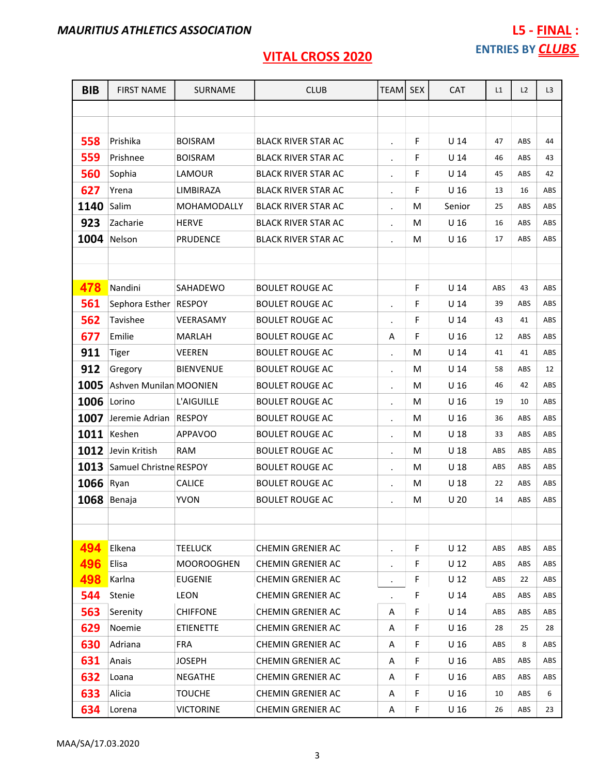| <b>BIB</b> | <b>FIRST NAME</b>      | <b>SURNAME</b>    | <b>CLUB</b>                | <b>TEAMI</b>         | <b>SEX</b> | <b>CAT</b>      | L1         | L2         | L <sub>3</sub> |
|------------|------------------------|-------------------|----------------------------|----------------------|------------|-----------------|------------|------------|----------------|
|            |                        |                   |                            |                      |            |                 |            |            |                |
|            |                        |                   |                            |                      |            |                 |            |            |                |
| 558        | Prishika               | <b>BOISRAM</b>    | <b>BLACK RIVER STAR AC</b> | $\blacksquare$       | F          | U <sub>14</sub> | 47         | ABS        | 44             |
| 559        | Prishnee               | <b>BOISRAM</b>    | <b>BLACK RIVER STAR AC</b> | $\bullet$            | F          | U <sub>14</sub> | 46         | ABS        | 43             |
| 560        | Sophia                 | LAMOUR            | <b>BLACK RIVER STAR AC</b> | $\cdot$              | F          | U <sub>14</sub> | 45         | ABS        | 42             |
| 627        | Yrena                  | LIMBIRAZA         | <b>BLACK RIVER STAR AC</b> | $\cdot$              | F          | U <sub>16</sub> | 13         | 16         | ABS            |
| 1140       | Salim                  | MOHAMODALLY       | <b>BLACK RIVER STAR AC</b> | $\cdot$              | M          | Senior          | 25         | ABS        | ABS            |
| 923        | Zacharie               | <b>HERVE</b>      | <b>BLACK RIVER STAR AC</b> | $\bullet$            | M          | U <sub>16</sub> | 16         | ABS        | ABS            |
| 1004       | Nelson                 | <b>PRUDENCE</b>   | <b>BLACK RIVER STAR AC</b> | $\cdot$              | M          | U <sub>16</sub> | 17         | ABS        | ABS            |
|            |                        |                   |                            |                      |            |                 |            |            |                |
|            |                        |                   |                            |                      |            |                 |            |            |                |
| 478        | Nandini                | SAHADEWO          | <b>BOULET ROUGE AC</b>     |                      | F          | $U$ 14          | ABS        | 43         | ABS            |
| 561        | Sephora Esther RESPOY  |                   | <b>BOULET ROUGE AC</b>     | $\bullet$            | F          | U 14            | 39         | ABS        | ABS            |
| 562        | Tavishee               | VEERASAMY         | <b>BOULET ROUGE AC</b>     |                      | F          | U <sub>14</sub> | 43         | 41         | ABS            |
| 677        | Emilie                 | <b>MARLAH</b>     | <b>BOULET ROUGE AC</b>     | Α                    | F          | U <sub>16</sub> | 12         | ABS        | ABS            |
| 911        | <b>Tiger</b>           | <b>VEEREN</b>     | <b>BOULET ROUGE AC</b>     | $\bullet$            | M          | U <sub>14</sub> | 41         | 41         | ABS            |
| 912        | Gregory                | <b>BIENVENUE</b>  | <b>BOULET ROUGE AC</b>     | $\bullet$            | M          | U <sub>14</sub> | 58         | ABS        | 12             |
| 1005       | Ashven Munilan MOONIEN |                   | <b>BOULET ROUGE AC</b>     | $\cdot$              | м          | U 16            | 46         | 42         | ABS            |
| 1006       | Lorino                 | L'AIGUILLE        | <b>BOULET ROUGE AC</b>     | $\bullet$            | м          | U <sub>16</sub> | 19         | 10         | ABS            |
| 1007       | Jeremie Adrian         | <b>RESPOY</b>     | <b>BOULET ROUGE AC</b>     | $\bullet$            | M          | U <sub>16</sub> | 36         | ABS        | ABS            |
| 1011       | Keshen                 | <b>APPAVOO</b>    | <b>BOULET ROUGE AC</b>     | $\bullet$            | M          | U <sub>18</sub> | 33         | ABS        | ABS            |
| 1012       | Jevin Kritish          | <b>RAM</b>        | <b>BOULET ROUGE AC</b>     | $\bullet$            | M          | U <sub>18</sub> | ABS        | ABS        | ABS            |
| 1013       | Samuel Christne RESPOY |                   | <b>BOULET ROUGE AC</b>     | $\bullet$            | M          | U <sub>18</sub> | ABS        | ABS        | ABS            |
| 1066       | Ryan                   | <b>CALICE</b>     | <b>BOULET ROUGE AC</b>     | $\bullet$            | м          | U <sub>18</sub> | 22         | ABS        | ABS            |
| 1068       | Benaja                 | <b>YVON</b>       | <b>BOULET ROUGE AC</b>     | $\bullet$            | M          | U <sub>20</sub> | 14         | ABS        | ABS            |
|            |                        |                   |                            |                      |            |                 |            |            |                |
|            |                        |                   |                            |                      |            |                 |            |            |                |
| 494        | Elkena                 | TEELUCK           | CHEMIN GRENIER AC          | $\blacksquare$       | F          | U <sub>12</sub> | ABS        | ABS        | ABS            |
| 496        | Elisa                  | <b>MOOROOGHEN</b> | <b>CHEMIN GRENIER AC</b>   | $\bullet$            | F          | $U$ 12          | ABS        | ABS        | ABS            |
| 498        | Karlna                 | <b>EUGENIE</b>    | <b>CHEMIN GRENIER AC</b>   | $\ddot{\phantom{0}}$ | F          | U <sub>12</sub> | ABS        | 22         | ABS            |
| 544        | Stenie                 | <b>LEON</b>       | <b>CHEMIN GRENIER AC</b>   |                      | F          | $U$ 14          | <b>ABS</b> | <b>ABS</b> | ABS            |
| 563        | Serenity               | <b>CHIFFONE</b>   | CHEMIN GRENIER AC          | Α                    | F          | U <sub>14</sub> | ABS        | <b>ABS</b> | ABS            |
| 629        | Noemie                 | <b>ETIENETTE</b>  | <b>CHEMIN GRENIER AC</b>   | Α                    | F          | U <sub>16</sub> | 28         | 25         | 28             |
| 630        | Adriana                | FRA.              | <b>CHEMIN GRENIER AC</b>   | Α                    | F          | U <sub>16</sub> | ABS        | 8          | ABS            |
| 631        | Anais                  | <b>JOSEPH</b>     | <b>CHEMIN GRENIER AC</b>   | Α                    | F          | U <sub>16</sub> | ABS        | ABS        | ABS            |
| 632        | Loana                  | <b>NEGATHE</b>    | CHEMIN GRENIER AC          | A                    | F          | U <sub>16</sub> | ABS        | ABS        | ABS            |
| 633        | Alicia                 | <b>TOUCHE</b>     | <b>CHEMIN GRENIER AC</b>   | A                    | F          | U <sub>16</sub> | 10         | ABS        | 6              |
| 634        | Lorena                 | VICTORINE         | CHEMIN GRENIER AC          | Α                    | F          | U <sub>16</sub> | 26         | ABS        | 23             |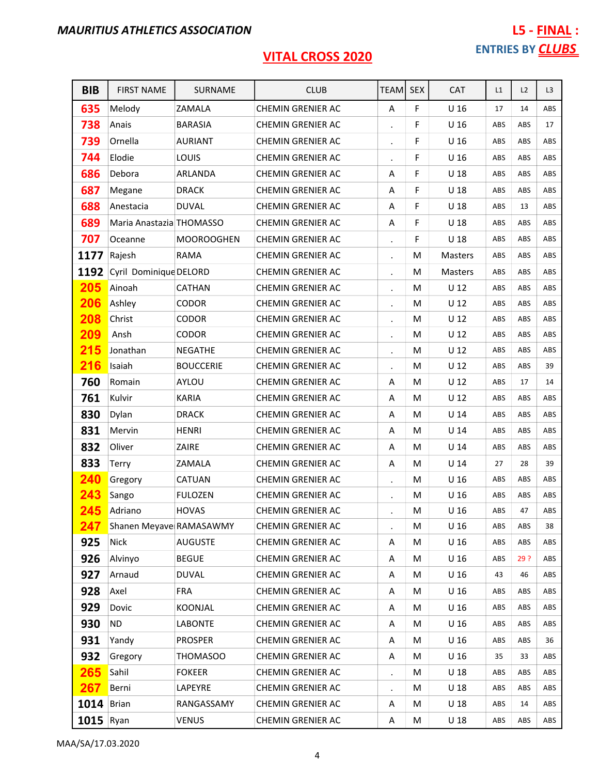| <b>BIB</b>        | <b>FIRST NAME</b>        | SURNAME           | <b>CLUB</b>              | <b>TEAM</b>          | <b>SEX</b> | CAT             | L1  | L2  | L3  |
|-------------------|--------------------------|-------------------|--------------------------|----------------------|------------|-----------------|-----|-----|-----|
| 635               | Melody                   | ZAMALA            | <b>CHEMIN GRENIER AC</b> | A                    | F          | U <sub>16</sub> | 17  | 14  | ABS |
| 738               | Anais                    | <b>BARASIA</b>    | CHEMIN GRENIER AC        | $\bullet$            | F          | U <sub>16</sub> | ABS | ABS | 17  |
| 739               | Ornella                  | <b>AURIANT</b>    | <b>CHEMIN GRENIER AC</b> |                      | F          | U <sub>16</sub> | ABS | ABS | ABS |
| 744               | Elodie                   | LOUIS             | <b>CHEMIN GRENIER AC</b> | $\cdot$              | F          | U <sub>16</sub> | ABS | ABS | ABS |
| 686               | Debora                   | ARLANDA           | <b>CHEMIN GRENIER AC</b> | Α                    | F          | U <sub>18</sub> | ABS | ABS | ABS |
| 687               | Megane                   | <b>DRACK</b>      | <b>CHEMIN GRENIER AC</b> | Α                    | F          | U <sub>18</sub> | ABS | ABS | ABS |
| 688               | Anestacia                | <b>DUVAL</b>      | <b>CHEMIN GRENIER AC</b> | Α                    | F          | U <sub>18</sub> | ABS | 13  | ABS |
| 689               | Maria Anastazia THOMASSO |                   | CHEMIN GRENIER AC        | Α                    | F          | U <sub>18</sub> | ABS | ABS | ABS |
| 707               | Oceanne                  | <b>MOOROOGHEN</b> | <b>CHEMIN GRENIER AC</b> | $\ddot{\phantom{0}}$ | F          | U <sub>18</sub> | ABS | ABS | ABS |
| 1177              | Rajesh                   | RAMA              | CHEMIN GRENIER AC        | $\blacksquare$       | M          | Masters         | ABS | ABS | ABS |
| 1192              | Cyril Dominique DELORD   |                   | <b>CHEMIN GRENIER AC</b> | $\bullet$            | M          | <b>Masters</b>  | ABS | ABS | ABS |
| 205               | Ainoah                   | CATHAN            | <b>CHEMIN GRENIER AC</b> |                      | M          | U <sub>12</sub> | ABS | ABS | ABS |
| 206               | Ashley                   | <b>CODOR</b>      | CHEMIN GRENIER AC        | $\ddot{\phantom{0}}$ | M          | U <sub>12</sub> | ABS | ABS | ABS |
| 208               | Christ                   | <b>CODOR</b>      | <b>CHEMIN GRENIER AC</b> | $\bullet$            | M          | U <sub>12</sub> | ABS | ABS | ABS |
| 209               | Ansh                     | <b>CODOR</b>      | <b>CHEMIN GRENIER AC</b> | $\bullet$            | M          | U <sub>12</sub> | ABS | ABS | ABS |
| 215               | Jonathan                 | <b>NEGATHE</b>    | <b>CHEMIN GRENIER AC</b> | $\ddot{\phantom{0}}$ | M          | U <sub>12</sub> | ABS | ABS | ABS |
| 216               | Isaiah                   | <b>BOUCCERIE</b>  | <b>CHEMIN GRENIER AC</b> | $\blacksquare$       | М          | U <sub>12</sub> | ABS | ABS | 39  |
| 760               | Romain                   | AYLOU             | <b>CHEMIN GRENIER AC</b> | Α                    | M          | U <sub>12</sub> | ABS | 17  | 14  |
| 761               | Kulvir                   | <b>KARIA</b>      | CHEMIN GRENIER AC        | A                    | M          | U <sub>12</sub> | ABS | ABS | ABS |
| 830               | Dylan                    | <b>DRACK</b>      | <b>CHEMIN GRENIER AC</b> | Α                    | M          | $U$ 14          | ABS | ABS | ABS |
| 831               | Mervin                   | <b>HENRI</b>      | <b>CHEMIN GRENIER AC</b> | Α                    | M          | U <sub>14</sub> | ABS | ABS | ABS |
| 832               | Oliver                   | ZAIRE             | <b>CHEMIN GRENIER AC</b> | Α                    | M          | $U$ 14          | ABS | ABS | ABS |
| 833               | Terry                    | ZAMALA            | <b>CHEMIN GRENIER AC</b> | Α                    | M          | U <sub>14</sub> | 27  | 28  | 39  |
| 240               | Gregory                  | CATUAN            | CHEMIN GRENIER AC        | $\ddot{\phantom{0}}$ | M          | U <sub>16</sub> | ABS | ABS | ABS |
| 243               | Sango                    | <b>FULOZEN</b>    | <b>CHEMIN GRENIER AC</b> | $\blacksquare$       | M          | U <sub>16</sub> | ABS | ABS | ABS |
| 245               | Adriano                  | <b>HOVAS</b>      | <b>CHEMIN GRENIER AC</b> |                      | M          | U <sub>16</sub> | ABS | 47  | ABS |
| 247               | Shanen Meyave RAMASAWMY  |                   | <b>CHEMIN GRENIER AC</b> |                      | М          | U <sub>16</sub> | ABS | ABS | 38  |
| 925               | <b>Nick</b>              | <b>AUGUSTE</b>    | <b>CHEMIN GRENIER AC</b> | Α                    | М          | U <sub>16</sub> | ABS | ABS | ABS |
| 926               | Alvinyo                  | <b>BEGUE</b>      | <b>CHEMIN GRENIER AC</b> | Α                    | М          | U <sub>16</sub> | ABS | 29? | ABS |
| 927               | Arnaud                   | <b>DUVAL</b>      | CHEMIN GRENIER AC        | Α                    | М          | U <sub>16</sub> | 43  | 46  | ABS |
| 928               | Axel                     | <b>FRA</b>        | CHEMIN GRENIER AC        | Α                    | M          | U <sub>16</sub> | ABS | ABS | ABS |
| 929               | Dovic                    | KOONJAL           | <b>CHEMIN GRENIER AC</b> | Α                    | M          | U <sub>16</sub> | ABS | ABS | ABS |
| 930               | <b>ND</b>                | <b>LABONTE</b>    | CHEMIN GRENIER AC        | Α                    | М          | U <sub>16</sub> | ABS | ABS | ABS |
| 931               | Yandy                    | <b>PROSPER</b>    | <b>CHEMIN GRENIER AC</b> | Α                    | М          | U <sub>16</sub> | ABS | ABS | 36  |
| 932               | Gregory                  | <b>THOMASOO</b>   | CHEMIN GRENIER AC        | Α                    | M          | U <sub>16</sub> | 35  | 33  | ABS |
| 265               | Sahil                    | <b>FOKEER</b>     | CHEMIN GRENIER AC        | $\ddot{\phantom{0}}$ | M          | U <sub>18</sub> | ABS | ABS | ABS |
| 267               | Berni                    | LAPEYRE           | CHEMIN GRENIER AC        | $\bullet$            | М          | U <sub>18</sub> | ABS | ABS | ABS |
| <b>1014</b> Brian |                          | RANGASSAMY        | CHEMIN GRENIER AC        | Α                    | M          | U 18            | ABS | 14  | ABS |
| $1015$ Ryan       |                          | <b>VENUS</b>      | CHEMIN GRENIER AC        | A                    | M          | U <sub>18</sub> | ABS | ABS | ABS |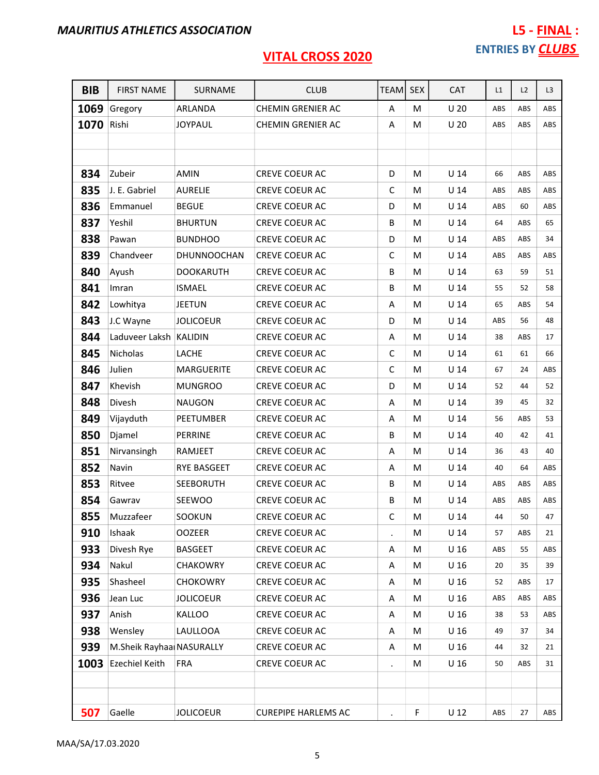| <b>BIB</b> | <b>FIRST NAME</b>        | SURNAME          | <b>CLUB</b>                | <b>TEAM</b> | <b>SEX</b> | <b>CAT</b>      | L1  | L2  | L <sub>3</sub> |
|------------|--------------------------|------------------|----------------------------|-------------|------------|-----------------|-----|-----|----------------|
| 1069       | Gregory                  | ARLANDA          | <b>CHEMIN GRENIER AC</b>   | A           | M          | U <sub>20</sub> | ABS | ABS | ABS            |
| 1070       | Rishi                    | <b>JOYPAUL</b>   | <b>CHEMIN GRENIER AC</b>   | Α           | M          | U <sub>20</sub> | ABS | ABS | ABS            |
|            |                          |                  |                            |             |            |                 |     |     |                |
|            |                          |                  |                            |             |            |                 |     |     |                |
| 834        | Zubeir                   | <b>AMIN</b>      | <b>CREVE COEUR AC</b>      | D           | M          | $U$ 14          | 66  | ABS | ABS            |
| 835        | J. E. Gabriel            | <b>AURELIE</b>   | CREVE COEUR AC             | $\mathsf C$ | М          | U <sub>14</sub> | ABS | ABS | ABS            |
| 836        | Emmanuel                 | <b>BEGUE</b>     | <b>CREVE COEUR AC</b>      | D           | M          | U <sub>14</sub> | ABS | 60  | ABS            |
| 837        | Yeshil                   | <b>BHURTUN</b>   | CREVE COEUR AC             | B           | M          | U <sub>14</sub> | 64  | ABS | 65             |
| 838        | Pawan                    | <b>BUNDHOO</b>   | CREVE COEUR AC             | D           | M          | $U$ 14          | ABS | ABS | 34             |
| 839        | Chandveer                | DHUNNOOCHAN      | <b>CREVE COEUR AC</b>      | С           | M          | U <sub>14</sub> | ABS | ABS | ABS            |
| 840        | Ayush                    | <b>DOOKARUTH</b> | CREVE COEUR AC             | В           | М          | U <sub>14</sub> | 63  | 59  | 51             |
| 841        | Imran                    | <b>ISMAEL</b>    | <b>CREVE COEUR AC</b>      | B           | М          | U <sub>14</sub> | 55  | 52  | 58             |
| 842        | Lowhitya                 | <b>JEETUN</b>    | <b>CREVE COEUR AC</b>      | A           | M          | U <sub>14</sub> | 65  | ABS | 54             |
| 843        | J.C Wayne                | <b>JOLICOEUR</b> | <b>CREVE COEUR AC</b>      | D           | M          | $U$ 14          | ABS | 56  | 48             |
| 844        | Laduveer Laksh KALIDIN   |                  | CREVE COEUR AC             | Α           | M          | U <sub>14</sub> | 38  | ABS | 17             |
| 845        | Nicholas                 | LACHE            | CREVE COEUR AC             | С           | M          | U <sub>14</sub> | 61  | 61  | 66             |
| 846        | Julien                   | MARGUERITE       | CREVE COEUR AC             | $\mathsf C$ | M          | U <sub>14</sub> | 67  | 24  | ABS            |
| 847        | Khevish                  | <b>MUNGROO</b>   | CREVE COEUR AC             | D           | M          | U <sub>14</sub> | 52  | 44  | 52             |
| 848        | Divesh                   | <b>NAUGON</b>    | CREVE COEUR AC             | Α           | M          | $U$ 14          | 39  | 45  | 32             |
| 849        | Vijayduth                | PEETUMBER        | <b>CREVE COEUR AC</b>      | Α           | М          | U <sub>14</sub> | 56  | ABS | 53             |
| 850        | Djamel                   | <b>PERRINE</b>   | CREVE COEUR AC             | B           | M          | $U$ 14          | 40  | 42  | 41             |
| 851        | Nirvansingh              | RAMJEET          | CREVE COEUR AC             | A           | M          | U <sub>14</sub> | 36  | 43  | 40             |
| 852        | Navin                    | RYE BASGEET      | <b>CREVE COEUR AC</b>      | Α           | M          | U <sub>14</sub> | 40  | 64  | ABS            |
| 853        | Ritvee                   | <b>SEEBORUTH</b> | CREVE COEUR AC             | В           | M          | U <sub>14</sub> | ABS | ABS | ABS            |
| 854        | Gawrav                   | SEEWOO           | CREVE COEUR AC             | B           | M          | $U$ 14          | ABS | ABS | ABS            |
| 855        | Muzzafeer                | SOOKUN           | CREVE COEUR AC             | $\mathsf C$ | M          | $U$ 14          | 44  | 50  | 47             |
| 910        | Ishaak                   | <b>OOZEER</b>    | <b>CREVE COEUR AC</b>      | $\cdot$     | м          | U <sub>14</sub> | 57  | ABS | 21             |
| 933        | Divesh Rye               | <b>BASGEET</b>   | <b>CREVE COEUR AC</b>      | Α           | M          | U <sub>16</sub> | ABS | 55  | ABS            |
| 934        | Nakul                    | <b>CHAKOWRY</b>  | <b>CREVE COEUR AC</b>      | Α           | М          | U <sub>16</sub> | 20  | 35  | 39             |
| 935        | Shasheel                 | <b>CHOKOWRY</b>  | CREVE COEUR AC             | Α           | М          | U <sub>16</sub> | 52  | ABS | 17             |
| 936        | Jean Luc                 | <b>JOLICOEUR</b> | CREVE COEUR AC             | Α           | M          | U <sub>16</sub> | ABS | ABS | ABS            |
| 937        | Anish                    | <b>KALLOO</b>    | <b>CREVE COEUR AC</b>      | Α           | М          | U <sub>16</sub> | 38  | 53  | ABS            |
| 938        | Wensley                  | LAULLOOA         | CREVE COEUR AC             | Α           | М          | U <sub>16</sub> | 49  | 37  | 34             |
| 939        | M.Sheik Rayhaa NASURALLY |                  | CREVE COEUR AC             | Α           | M          | U <sub>16</sub> | 44  | 32  | 21             |
| 1003       | <b>Ezechiel Keith</b>    | <b>FRA</b>       | <b>CREVE COEUR AC</b>      | $\bullet$   | M          | U <sub>16</sub> | 50  | ABS | 31             |
|            |                          |                  |                            |             |            |                 |     |     |                |
|            |                          |                  |                            |             |            |                 |     |     |                |
| 507        | Gaelle                   | <b>JOLICOEUR</b> | <b>CUREPIPE HARLEMS AC</b> |             | F          | $U$ 12          | ABS | 27  | ABS            |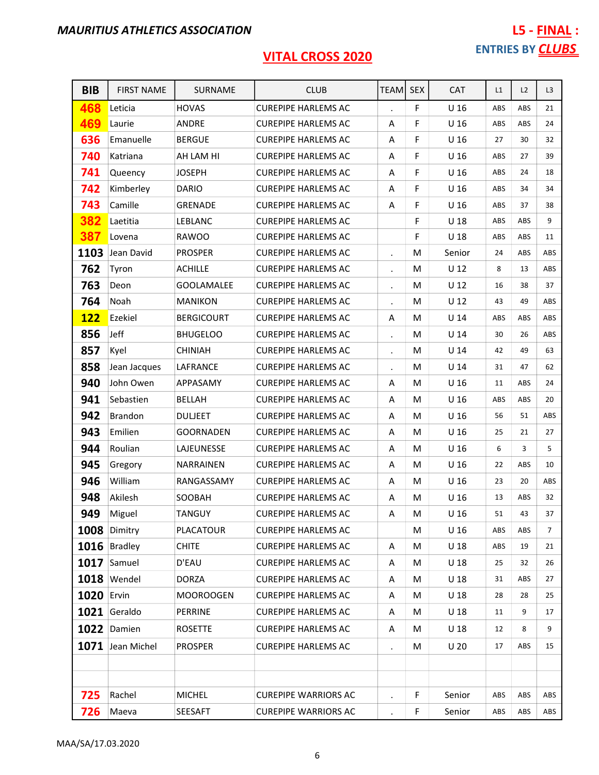| <b>BIB</b>        | <b>FIRST NAME</b>  | SURNAME           | <b>CLUB</b>                 | <b>TEAM</b> | <b>SEX</b> | <b>CAT</b>      | L1  | L2  | L <sub>3</sub> |
|-------------------|--------------------|-------------------|-----------------------------|-------------|------------|-----------------|-----|-----|----------------|
| 468               | Leticia            | <b>HOVAS</b>      | <b>CUREPIPE HARLEMS AC</b>  |             | F          | U <sub>16</sub> | ABS | ABS | 21             |
| 469               | Laurie             | ANDRE             | <b>CUREPIPE HARLEMS AC</b>  | Α           | F          | U <sub>16</sub> | ABS | ABS | 24             |
| 636               | Emanuelle          | <b>BERGUE</b>     | <b>CUREPIPE HARLEMS AC</b>  | A           | F          | U <sub>16</sub> | 27  | 30  | 32             |
| 740               | Katriana           | AH LAM HI         | <b>CUREPIPE HARLEMS AC</b>  | Α           | F          | U <sub>16</sub> | ABS | 27  | 39             |
| 741               | Queency            | <b>JOSEPH</b>     | <b>CUREPIPE HARLEMS AC</b>  | Α           | F          | U <sub>16</sub> | ABS | 24  | 18             |
| 742               | Kimberley          | <b>DARIO</b>      | <b>CUREPIPE HARLEMS AC</b>  | Α           | F          | U <sub>16</sub> | ABS | 34  | 34             |
| 743               | Camille            | <b>GRENADE</b>    | <b>CUREPIPE HARLEMS AC</b>  | A           | F          | U <sub>16</sub> | ABS | 37  | 38             |
| 382               | Laetitia           | LEBLANC           | <b>CUREPIPE HARLEMS AC</b>  |             | F          | U <sub>18</sub> | ABS | ABS | 9              |
| 387               | Lovena             | <b>RAWOO</b>      | <b>CUREPIPE HARLEMS AC</b>  |             | F          | U <sub>18</sub> | ABS | ABS | 11             |
| 1103              | Jean David         | <b>PROSPER</b>    | <b>CUREPIPE HARLEMS AC</b>  |             | м          | Senior          | 24  | ABS | ABS            |
| 762               | Tyron              | <b>ACHILLE</b>    | <b>CUREPIPE HARLEMS AC</b>  |             | M          | U <sub>12</sub> | 8   | 13  | ABS            |
| 763               | Deon               | <b>GOOLAMALEE</b> | <b>CUREPIPE HARLEMS AC</b>  | $\bullet$   | M          | $U$ 12          | 16  | 38  | 37             |
| 764               | Noah               | <b>MANIKON</b>    | <b>CUREPIPE HARLEMS AC</b>  |             | M          | U <sub>12</sub> | 43  | 49  | ABS            |
| <b>122</b>        | Ezekiel            | <b>BERGICOURT</b> | <b>CUREPIPE HARLEMS AC</b>  | Α           | M          | U <sub>14</sub> | ABS | ABS | ABS            |
| 856               | Jeff               | <b>BHUGELOO</b>   | <b>CUREPIPE HARLEMS AC</b>  | $\bullet$   | м          | U <sub>14</sub> | 30  | 26  | ABS            |
| 857               | Kyel               | <b>CHINIAH</b>    | <b>CUREPIPE HARLEMS AC</b>  | $\bullet$   | M          | U <sub>14</sub> | 42  | 49  | 63             |
| 858               | Jean Jacques       | LAFRANCE          | <b>CUREPIPE HARLEMS AC</b>  |             | M          | U <sub>14</sub> | 31  | 47  | 62             |
| 940               | John Owen          | APPASAMY          | <b>CUREPIPE HARLEMS AC</b>  | Α           | M          | U <sub>16</sub> | 11  | ABS | 24             |
| 941               | Sebastien          | <b>BELLAH</b>     | <b>CUREPIPE HARLEMS AC</b>  | Α           | M          | U <sub>16</sub> | ABS | ABS | 20             |
| 942               | Brandon            | <b>DULJEET</b>    | <b>CUREPIPE HARLEMS AC</b>  | Α           | M          | U <sub>16</sub> | 56  | 51  | ABS            |
| 943               | Emilien            | <b>GOORNADEN</b>  | <b>CUREPIPE HARLEMS AC</b>  | Α           | M          | U <sub>16</sub> | 25  | 21  | 27             |
| 944               | Roulian            | LAJEUNESSE        | <b>CUREPIPE HARLEMS AC</b>  | Α           | M          | U <sub>16</sub> | 6   | 3   | 5              |
| 945               | Gregory            | NARRAINEN         | <b>CUREPIPE HARLEMS AC</b>  | Α           | M          | U <sub>16</sub> | 22  | ABS | 10             |
| 946               | William            | RANGASSAMY        | <b>CUREPIPE HARLEMS AC</b>  | A           | м          | U <sub>16</sub> | 23  | 20  | ABS            |
| 948               | Akilesh            | SOOBAH            | <b>CUREPIPE HARLEMS AC</b>  | A           | M          | U <sub>16</sub> | 13  | ABS | 32             |
| 949               | Miguel             | <b>TANGUY</b>     | <b>CUREPIPE HARLEMS AC</b>  | A           | M          | U <sub>16</sub> | 51  | 43  | 37             |
|                   | 1008 Dimitry       | <b>PLACATOUR</b>  | <b>CUREPIPE HARLEMS AC</b>  |             | M          | U <sub>16</sub> | ABS | ABS | $7^{\circ}$    |
|                   | 1016 Bradley       | <b>CHITE</b>      | <b>CUREPIPE HARLEMS AC</b>  | Α           | М          | U <sub>18</sub> | ABS | 19  | 21             |
|                   | 1017 Samuel        | D'EAU             | <b>CUREPIPE HARLEMS AC</b>  | Α           | M          | U <sub>18</sub> | 25  | 32  | 26             |
|                   | <b>1018</b> Wendel | <b>DORZA</b>      | <b>CUREPIPE HARLEMS AC</b>  | Α           | M          | U <sub>18</sub> | 31  | ABS | 27             |
| <b>1020 Ervin</b> |                    | <b>MOOROOGEN</b>  | <b>CUREPIPE HARLEMS AC</b>  | A           | М          | U <sub>18</sub> | 28  | 28  | 25             |
|                   | 1021 Geraldo       | <b>PERRINE</b>    | <b>CUREPIPE HARLEMS AC</b>  | Α           | М          | U <sub>18</sub> | 11  | 9   | 17             |
|                   | 1022 Damien        | <b>ROSETTE</b>    | <b>CUREPIPE HARLEMS AC</b>  | Α           | М          | U <sub>18</sub> | 12  | 8   | 9              |
|                   | 1071 Jean Michel   | <b>PROSPER</b>    | <b>CUREPIPE HARLEMS AC</b>  |             | М          | U <sub>20</sub> | 17  | ABS | 15             |
|                   |                    |                   |                             |             |            |                 |     |     |                |
|                   |                    |                   |                             |             |            |                 |     |     |                |
| 725               | Rachel             | <b>MICHEL</b>     | <b>CUREPIPE WARRIORS AC</b> |             | F.         | Senior          | ABS | ABS | ABS            |
| 726               | Maeva              | SEESAFT           | <b>CUREPIPE WARRIORS AC</b> |             | F          | Senior          | ABS | ABS | ABS            |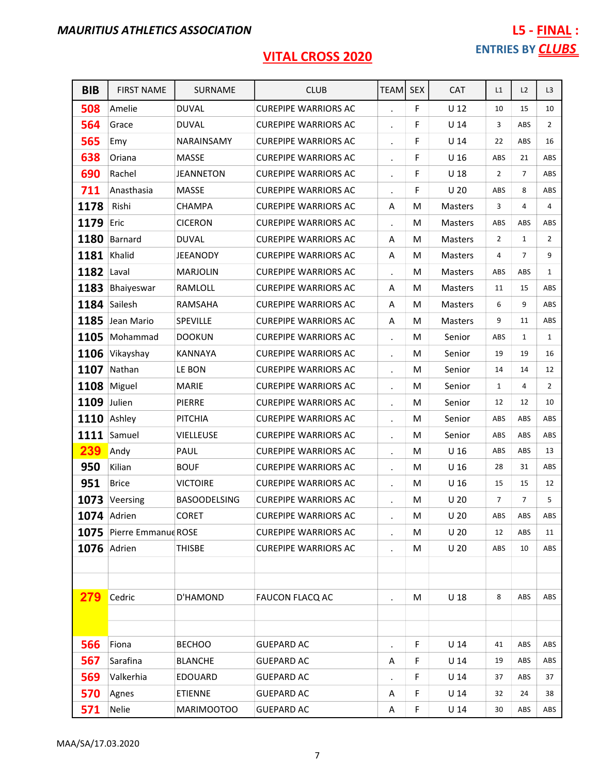| <b>BIB</b>         | <b>FIRST NAME</b>        | SURNAME             | <b>CLUB</b>                 | <b>TEAMI</b> | <b>SEX</b> | <b>CAT</b>      | L1             | L2             | L3             |
|--------------------|--------------------------|---------------------|-----------------------------|--------------|------------|-----------------|----------------|----------------|----------------|
| 508                | Amelie                   | <b>DUVAL</b>        | <b>CUREPIPE WARRIORS AC</b> |              | F          | $U$ 12          | 10             | 15             | 10             |
| 564                | Grace                    | <b>DUVAL</b>        | <b>CUREPIPE WARRIORS AC</b> |              | F          | $U$ 14          | 3              | ABS            | $\overline{2}$ |
| 565                | Emy                      | NARAINSAMY          | <b>CUREPIPE WARRIORS AC</b> |              | F          | U <sub>14</sub> | 22             | ABS            | 16             |
| 638                | Oriana                   | MASSE               | <b>CUREPIPE WARRIORS AC</b> |              | F          | U <sub>16</sub> | ABS            | 21             | ABS            |
| 690                | Rachel                   | <b>JEANNETON</b>    | <b>CUREPIPE WARRIORS AC</b> |              | F          | U <sub>18</sub> | $\overline{2}$ | $\overline{7}$ | ABS            |
| 711                | Anasthasia               | <b>MASSE</b>        | <b>CUREPIPE WARRIORS AC</b> |              | F          | U <sub>20</sub> | ABS            | 8              | ABS            |
| 1178               | Rishi                    | <b>CHAMPA</b>       | <b>CUREPIPE WARRIORS AC</b> | Α            | м          | <b>Masters</b>  | 3              | 4              | $\overline{4}$ |
| 1179               | Eric                     | <b>CICERON</b>      | <b>CUREPIPE WARRIORS AC</b> |              | М          | <b>Masters</b>  | ABS            | ABS            | ABS            |
| 1180               | Barnard                  | <b>DUVAL</b>        | <b>CUREPIPE WARRIORS AC</b> | Α            | M          | <b>Masters</b>  | $\overline{2}$ | $\mathbf{1}$   | $\overline{2}$ |
| 1181               | Khalid                   | <b>JEEANODY</b>     | <b>CUREPIPE WARRIORS AC</b> | Α            | M          | Masters         | 4              | $\overline{7}$ | 9              |
| 1182               | Laval                    | <b>MARJOLIN</b>     | <b>CUREPIPE WARRIORS AC</b> |              | M          | Masters         | ABS            | ABS            | $\mathbf{1}$   |
| 1183               | Bhaiyeswar               | RAMLOLL             | <b>CUREPIPE WARRIORS AC</b> | Α            | M          | <b>Masters</b>  | 11             | 15             | ABS            |
|                    | 1184 Sailesh             | RAMSAHA             | <b>CUREPIPE WARRIORS AC</b> | Α            | M          | <b>Masters</b>  | 6              | 9              | ABS            |
| 1185               | Jean Mario               | SPEVILLE            | <b>CUREPIPE WARRIORS AC</b> | Α            | M          | Masters         | 9              | 11             | ABS            |
| 1105               | Mohammad                 | <b>DOOKUN</b>       | <b>CUREPIPE WARRIORS AC</b> | $\cdot$      | M          | Senior          | ABS            | 1              | $\mathbf{1}$   |
|                    | 1106 Vikayshay           | <b>KANNAYA</b>      | <b>CUREPIPE WARRIORS AC</b> |              | М          | Senior          | 19             | 19             | 16             |
| 1107               | Nathan                   | LE BON              | <b>CUREPIPE WARRIORS AC</b> |              | М          | Senior          | 14             | 14             | 12             |
| 1108               | Miguel                   | <b>MARIE</b>        | <b>CUREPIPE WARRIORS AC</b> |              | M          | Senior          | $\mathbf{1}$   | 4              | $\overline{2}$ |
| 1109               | Julien                   | PIERRE              | <b>CUREPIPE WARRIORS AC</b> |              | M          | Senior          | 12             | 12             | 10             |
| 1110               | Ashley                   | <b>PITCHIA</b>      | <b>CUREPIPE WARRIORS AC</b> |              | M          | Senior          | ABS            | ABS            | ABS            |
| 1111               | Samuel                   | <b>VIELLEUSE</b>    | <b>CUREPIPE WARRIORS AC</b> |              | M          | Senior          | ABS            | ABS            | ABS            |
| 239                | Andy                     | PAUL                | <b>CUREPIPE WARRIORS AC</b> | $\cdot$      | M          | U <sub>16</sub> | ABS            | ABS            | 13             |
| 950                | Kilian                   | <b>BOUF</b>         | <b>CUREPIPE WARRIORS AC</b> |              | M          | U <sub>16</sub> | 28             | 31             | ABS            |
| 951                | <b>Brice</b>             | <b>VICTOIRE</b>     | <b>CUREPIPE WARRIORS AC</b> |              | M          | U <sub>16</sub> | 15             | 15             | 12             |
| 1073               | Veersing                 | <b>BASOODELSING</b> | <b>CUREPIPE WARRIORS AC</b> |              | M          | U <sub>20</sub> | $\overline{7}$ | $\overline{7}$ | 5              |
|                    | 1074 Adrien              | <b>CORET</b>        | <b>CUREPIPE WARRIORS AC</b> |              | M          | U <sub>20</sub> | ABS            | ABS            | ABS            |
|                    | 1075 Pierre Emmanue ROSE |                     | <b>CUREPIPE WARRIORS AC</b> |              | M          | U <sub>20</sub> | 12             | ABS            | 11             |
| <b>1076</b> Adrien |                          | <b>THISBE</b>       | <b>CUREPIPE WARRIORS AC</b> |              | М          | U <sub>20</sub> | ABS            | 10             | ABS            |
|                    |                          |                     |                             |              |            |                 |                |                |                |
|                    |                          |                     |                             |              |            |                 |                |                |                |
| 279                | Cedric                   | D'HAMOND            | <b>FAUCON FLACQ AC</b>      |              | M          | U <sub>18</sub> | 8              | ABS            | ABS            |
|                    |                          |                     |                             |              |            |                 |                |                |                |
|                    |                          |                     |                             |              |            |                 |                |                |                |
| 566                | Fiona                    | <b>BECHOO</b>       | <b>GUEPARD AC</b>           |              | F          | $U$ 14          | 41             | ABS            | ABS            |
| 567                | Sarafina                 | <b>BLANCHE</b>      | <b>GUEPARD AC</b>           | Α            | F          | U <sub>14</sub> | 19             | ABS            | ABS            |
| 569                | Valkerhia                | <b>EDOUARD</b>      | <b>GUEPARD AC</b>           |              | F          | U <sub>14</sub> | 37             | ABS            | 37             |
| 570                | Agnes                    | <b>ETIENNE</b>      | <b>GUEPARD AC</b>           | Α            | F          | $U$ 14          | 32             | 24             | 38             |
| 571                | Nelie                    | MARIMOOTOO          | <b>GUEPARD AC</b>           | Α            | F          | $U$ 14          | 30             | ABS            | ABS            |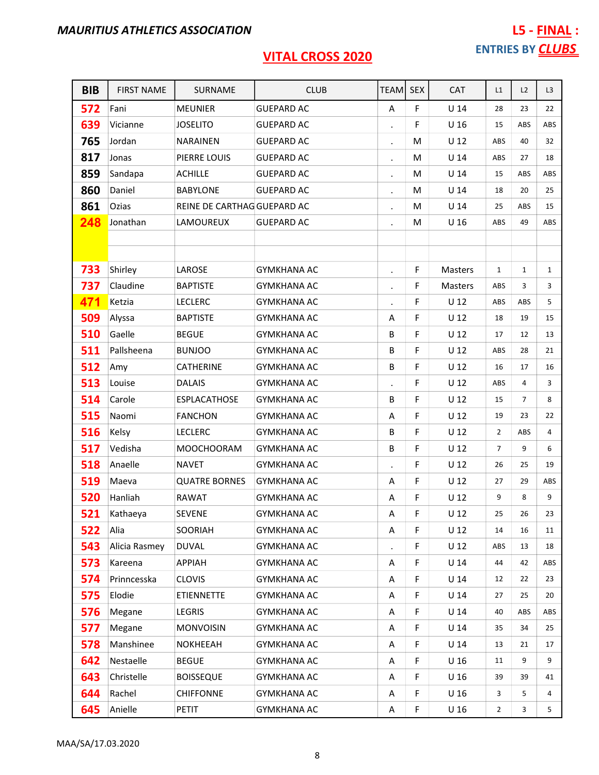| <b>BIB</b> | <b>FIRST NAME</b> | SURNAME                     | <b>CLUB</b>        | <b>TEAM</b>          | <b>SEX</b> | <b>CAT</b>      | L1             | L2             | L <sub>3</sub> |
|------------|-------------------|-----------------------------|--------------------|----------------------|------------|-----------------|----------------|----------------|----------------|
| 572        | Fani              | <b>MEUNIER</b>              | <b>GUEPARD AC</b>  | A                    | F          | $U$ 14          | 28             | 23             | 22             |
| 639        | Vicianne          | <b>JOSELITO</b>             | <b>GUEPARD AC</b>  |                      | F          | U <sub>16</sub> | 15             | ABS            | ABS            |
| 765        | Jordan            | <b>NARAINEN</b>             | <b>GUEPARD AC</b>  | $\bullet$            | м          | U <sub>12</sub> | ABS            | 40             | 32             |
| 817        | Jonas             | PIERRE LOUIS                | <b>GUEPARD AC</b>  | $\blacksquare$       | M          | U <sub>14</sub> | ABS            | 27             | 18             |
| 859        | Sandapa           | <b>ACHILLE</b>              | <b>GUEPARD AC</b>  | $\blacksquare$       | M          | U <sub>14</sub> | 15             | ABS            | ABS            |
| 860        | Daniel            | <b>BABYLONE</b>             | <b>GUEPARD AC</b>  | $\blacksquare$       | M          | U <sub>14</sub> | 18             | 20             | 25             |
| 861        | Ozias             | REINE DE CARTHAG GUEPARD AC |                    | $\cdot$              | M          | U <sub>14</sub> | 25             | ABS            | 15             |
| 248        | Jonathan          | LAMOUREUX                   | <b>GUEPARD AC</b>  | $\bullet$            | M          | U <sub>16</sub> | ABS            | 49             | ABS            |
|            |                   |                             |                    |                      |            |                 |                |                |                |
|            |                   |                             |                    |                      |            |                 |                |                |                |
| 733        | Shirley           | LAROSE                      | <b>GYMKHANA AC</b> | $\bullet$            | F          | Masters         | $\mathbf{1}$   | $\mathbf{1}$   | $\mathbf{1}$   |
| 737        | Claudine          | <b>BAPTISTE</b>             | <b>GYMKHANA AC</b> | $\ddot{\phantom{0}}$ | F          | <b>Masters</b>  | ABS            | 3              | 3              |
| 471        | Ketzia            | <b>LECLERC</b>              | <b>GYMKHANA AC</b> | $\blacksquare$       | F          | U <sub>12</sub> | ABS            | ABS            | 5              |
| 509        | Alyssa            | <b>BAPTISTE</b>             | <b>GYMKHANA AC</b> | Α                    | F          | U <sub>12</sub> | 18             | 19             | 15             |
| 510        | Gaelle            | <b>BEGUE</b>                | <b>GYMKHANA AC</b> | B                    | F          | U <sub>12</sub> | 17             | 12             | 13             |
| 511        | Pallsheena        | <b>BUNJOO</b>               | <b>GYMKHANA AC</b> | B                    | F          | U <sub>12</sub> | ABS            | 28             | 21             |
| 512        | Amy               | CATHERINE                   | <b>GYMKHANA AC</b> | B                    | F          | $U$ 12          | 16             | 17             | 16             |
| 513        | Louise            | DALAIS                      | GYMKHANA AC        | $\bullet$            | F          | U <sub>12</sub> | ABS            | 4              | 3              |
| 514        | Carole            | <b>ESPLACATHOSE</b>         | <b>GYMKHANA AC</b> | B                    | F          | U <sub>12</sub> | 15             | $\overline{7}$ | 8              |
| 515        | Naomi             | <b>FANCHON</b>              | <b>GYMKHANA AC</b> | Α                    | F          | U <sub>12</sub> | 19             | 23             | 22             |
| 516        | Kelsy             | <b>LECLERC</b>              | <b>GYMKHANA AC</b> | B                    | F          | U <sub>12</sub> | $\overline{2}$ | ABS            | 4              |
| 517        | Vedisha           | <b>MOOCHOORAM</b>           | <b>GYMKHANA AC</b> | В                    | F          | U <sub>12</sub> | $\overline{7}$ | 9              | 6              |
| 518        | Anaelle           | <b>NAVET</b>                | <b>GYMKHANA AC</b> | $\bullet$            | F          | U <sub>12</sub> | 26             | 25             | 19             |
| 519        | Maeva             | <b>QUATRE BORNES</b>        | <b>GYMKHANA AC</b> | A                    | F          | U <sub>12</sub> | 27             | 29             | ABS            |
| 520        | Hanliah           | <b>RAWAT</b>                | <b>GYMKHANA AC</b> | Α                    | F          | U <sub>12</sub> | 9              | 8              | 9              |
| 521        | Kathaeya          | <b>SEVENE</b>               | <b>GYMKHANA AC</b> | Α                    | F          | $U$ 12          | 25             | 26             | 23             |
| 522        | Alia              | SOORIAH                     | <b>GYMKHANA AC</b> | A                    | F.         | U <sub>12</sub> | 14             | 16             | 11             |
| 543        | Alicia Rasmey     | <b>DUVAL</b>                | <b>GYMKHANA AC</b> | $\blacksquare$       | F          | $U$ 12          | ABS            | 13             | 18             |
| 573        | Kareena           | APPIAH                      | <b>GYMKHANA AC</b> | Α                    | F          | U <sub>14</sub> | 44             | 42             | ABS            |
| 574        | Prinncesska       | <b>CLOVIS</b>               | <b>GYMKHANA AC</b> | Α                    | F          | $U$ 14          | 12             | 22             | 23             |
| 575        | Elodie            | <b>ETIENNETTE</b>           | <b>GYMKHANA AC</b> | A                    | F          | U <sub>14</sub> | 27             | 25             | 20             |
| 576        | Megane            | LEGRIS                      | <b>GYMKHANA AC</b> | Α                    | F          | U <sub>14</sub> | 40             | ABS            | ABS            |
| 577        | Megane            | <b>MONVOISIN</b>            | <b>GYMKHANA AC</b> | Α                    | F          | U <sub>14</sub> | 35             | 34             | 25             |
| 578        | Manshinee         | NOKHEEAH                    | <b>GYMKHANA AC</b> | Α                    | F          | U <sub>14</sub> | 13             | 21             | 17             |
| 642        | Nestaelle         | <b>BEGUE</b>                | <b>GYMKHANA AC</b> | Α                    | F          | U <sub>16</sub> | 11             | 9              | 9              |
| 643        | Christelle        | <b>BOISSEQUE</b>            | <b>GYMKHANA AC</b> | Α                    | F          | U <sub>16</sub> | 39             | 39             | 41             |
| 644        | Rachel            | <b>CHIFFONNE</b>            | <b>GYMKHANA AC</b> | Α                    | F          | U <sub>16</sub> | 3              | 5              | 4              |
| 645        | Anielle           | PETIT                       | <b>GYMKHANA AC</b> | A                    | F          | U <sub>16</sub> | $\overline{2}$ | 3              | 5              |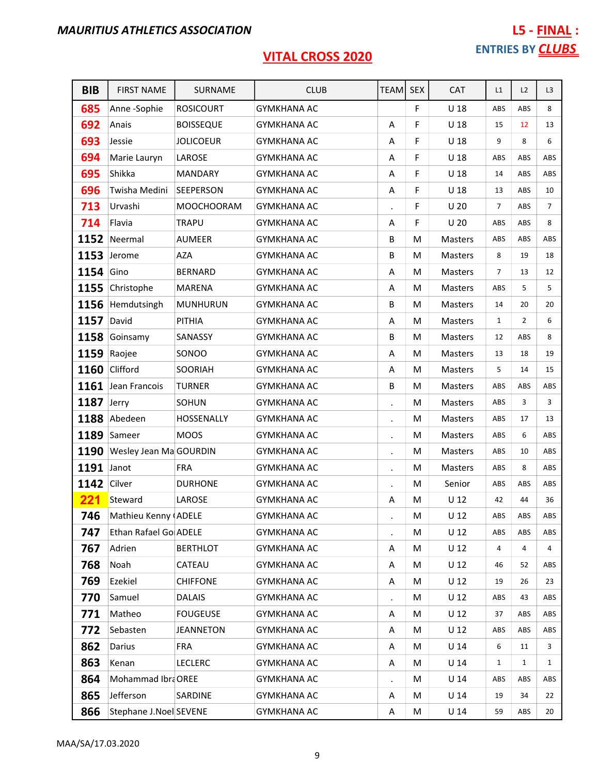# L5 - FINAL : ENTRIES BY **CLUBS**

| <b>BIB</b>  | <b>FIRST NAME</b>      | SURNAME           | <b>CLUB</b>        | TEAM SEX  |   | <b>CAT</b>      | L1             | L2             | L3             |
|-------------|------------------------|-------------------|--------------------|-----------|---|-----------------|----------------|----------------|----------------|
| 685         | Anne-Sophie            | <b>ROSICOURT</b>  | <b>GYMKHANA AC</b> |           | F | U <sub>18</sub> | ABS            | ABS            | 8              |
| 692         | Anais                  | <b>BOISSEQUE</b>  | <b>GYMKHANA AC</b> | Α         | F | U <sub>18</sub> | 15             | 12             | 13             |
| 693         | Jessie                 | <b>JOLICOEUR</b>  | <b>GYMKHANA AC</b> | Α         | F | U <sub>18</sub> | 9              | 8              | 6              |
| 694         | Marie Lauryn           | LAROSE            | <b>GYMKHANA AC</b> | Α         | F | $U$ 18          | ABS            | ABS            | ABS            |
| 695         | Shikka                 | <b>MANDARY</b>    | <b>GYMKHANA AC</b> | Α         | F | U <sub>18</sub> | 14             | ABS            | ABS            |
| 696         | Twisha Medini          | SEEPERSON         | <b>GYMKHANA AC</b> | Α         | F | U <sub>18</sub> | 13             | ABS            | 10             |
| 713         | Urvashi                | <b>MOOCHOORAM</b> | <b>GYMKHANA AC</b> |           | F | U <sub>20</sub> | $\overline{7}$ | ABS            | $\overline{7}$ |
| 714         | Flavia                 | <b>TRAPU</b>      | <b>GYMKHANA AC</b> | Α         | F | U <sub>20</sub> | ABS            | ABS            | 8              |
| 1152        | Neermal                | <b>AUMEER</b>     | <b>GYMKHANA AC</b> | B         | M | Masters         | ABS            | ABS            | ABS            |
| 1153        | Jerome                 | <b>AZA</b>        | <b>GYMKHANA AC</b> | B         | M | Masters         | 8              | 19             | 18             |
| 1154 Gino   |                        | <b>BERNARD</b>    | <b>GYMKHANA AC</b> | Α         | M | Masters         | $\overline{7}$ | 13             | 12             |
| 1155        | Christophe             | <b>MARENA</b>     | <b>GYMKHANA AC</b> | Α         | M | <b>Masters</b>  | ABS            | 5              | 5              |
| 1156        | Hemdutsingh            | <b>MUNHURUN</b>   | <b>GYMKHANA AC</b> | B         | M | <b>Masters</b>  | 14             | 20             | 20             |
| 1157        | David                  | PITHIA            | <b>GYMKHANA AC</b> | Α         | M | <b>Masters</b>  | $\mathbf{1}$   | $\overline{2}$ | 6              |
| 1158        | Goinsamy               | SANASSY           | <b>GYMKHANA AC</b> | B         | M | <b>Masters</b>  | 12             | ABS            | 8              |
|             | 1159 Raojee            | SONOO             | <b>GYMKHANA AC</b> | Α         | M | <b>Masters</b>  | 13             | 18             | 19             |
| 1160        | Clifford               | SOORIAH           | <b>GYMKHANA AC</b> | A         | M | <b>Masters</b>  | 5              | 14             | 15             |
| 1161        | Jean Francois          | <b>TURNER</b>     | <b>GYMKHANA AC</b> | B         | M | <b>Masters</b>  | ABS            | ABS            | ABS            |
| 1187        | Jerry                  | SOHUN             | <b>GYMKHANA AC</b> | $\bullet$ | M | Masters         | ABS            | 3              | 3              |
| 1188        | Abedeen                | HOSSENALLY        | <b>GYMKHANA AC</b> | $\bullet$ | M | <b>Masters</b>  | ABS            | 17             | 13             |
|             | 1189 Sameer            | <b>MOOS</b>       | <b>GYMKHANA AC</b> |           | M | Masters         | ABS            | 6              | ABS            |
| 1190        | Wesley Jean Ma GOURDIN |                   | <b>GYMKHANA AC</b> | $\bullet$ | M | <b>Masters</b>  | ABS            | 10             | ABS            |
| 1191        | Janot                  | <b>FRA</b>        | <b>GYMKHANA AC</b> | $\cdot$   | M | <b>Masters</b>  | ABS            | 8              | ABS            |
| 1142 Cilver |                        | <b>DURHONE</b>    | <b>GYMKHANA AC</b> |           | M | Senior          | ABS            | ABS            | ABS            |
| 221         | Steward                | LAROSE            | <b>GYMKHANA AC</b> | A         | M | $U$ 12          | 42             | 44             | 36             |
| 746         | Mathieu Kenny (ADELE   |                   | <b>GYMKHANA AC</b> |           | M | $U$ 12          | ${\sf ABS}$    | ABS            | ABS            |
| 747         | Ethan Rafael Go ADELE  |                   | <b>GYMKHANA AC</b> |           | M | U <sub>12</sub> | ABS            | ABS            | ABS            |
| 767         | Adrien                 | <b>BERTHLOT</b>   | <b>GYMKHANA AC</b> | Α         | М | $U$ 12          | 4              | 4              | 4              |
| 768         | Noah                   | CATEAU            | <b>GYMKHANA AC</b> | Α         | М | $U$ 12          | 46             | 52             | ABS            |
| 769         | Ezekiel                | <b>CHIFFONE</b>   | <b>GYMKHANA AC</b> | Α         | M | $U$ 12          | 19             | 26             | 23             |
| 770         | Samuel                 | <b>DALAIS</b>     | <b>GYMKHANA AC</b> |           | М | U <sub>12</sub> | ABS            | 43             | ABS            |
| 771         | Matheo                 | <b>FOUGEUSE</b>   | <b>GYMKHANA AC</b> | A         | М | U <sub>12</sub> | 37             | ABS            | ABS            |
| 772         | Sebasten               | JEANNETON         | <b>GYMKHANA AC</b> | Α         | M | $U$ 12          | ABS            | ABS            | ABS            |
| 862         | Darius                 | <b>FRA</b>        | <b>GYMKHANA AC</b> | Α         | M | $U$ 14          | 6              | 11             | 3              |
| 863         | Kenan                  | <b>LECLERC</b>    | <b>GYMKHANA AC</b> | Α         | M | $U$ 14          | $\mathbf{1}$   | $\mathbf{1}$   | $\mathbf{1}$   |
| 864         | Mohammad Ibra OREE     |                   | <b>GYMKHANA AC</b> |           | M | $U$ 14          | ABS            | ABS            | ABS            |
| 865         | Jefferson              | SARDINE           | <b>GYMKHANA AC</b> | Α         | М | $U$ 14          | 19             | 34             | 22             |
| 866         | Stephane J.Noel SEVENE |                   | <b>GYMKHANA AC</b> | Α         | M | $U$ 14          | 59             | ABS            | 20             |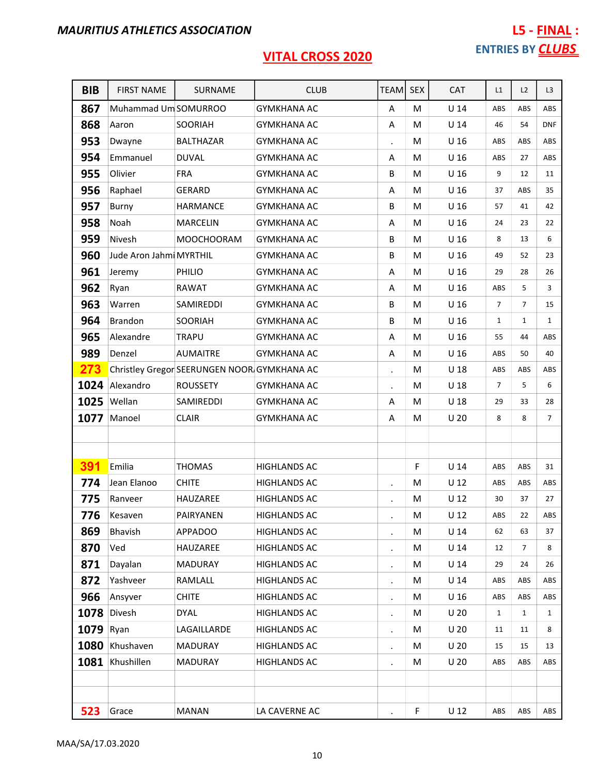| <b>BIB</b> | <b>FIRST NAME</b>       | SURNAME                                     | <b>CLUB</b>         | <b>TEAM</b>          | <b>SEX</b> | <b>CAT</b>      | L1             | L2             | L <sub>3</sub> |
|------------|-------------------------|---------------------------------------------|---------------------|----------------------|------------|-----------------|----------------|----------------|----------------|
| 867        | Muhammad Um SOMURROO    |                                             | <b>GYMKHANA AC</b>  | Α                    | M          | $U$ 14          | ABS            | ABS            | ABS            |
| 868        | Aaron                   | SOORIAH                                     | <b>GYMKHANA AC</b>  | Α                    | М          | U <sub>14</sub> | 46             | 54             | <b>DNF</b>     |
| 953        | Dwayne                  | <b>BALTHAZAR</b>                            | <b>GYMKHANA AC</b>  | $\blacksquare$       | м          | U <sub>16</sub> | ABS            | <b>ABS</b>     | ABS            |
| 954        | Emmanuel                | <b>DUVAL</b>                                | <b>GYMKHANA AC</b>  | A                    | M          | U <sub>16</sub> | ABS            | 27             | ABS            |
| 955        | Olivier                 | <b>FRA</b>                                  | <b>GYMKHANA AC</b>  | B                    | M          | U <sub>16</sub> | 9              | 12             | 11             |
| 956        | Raphael                 | GERARD                                      | <b>GYMKHANA AC</b>  | Α                    | M          | U <sub>16</sub> | 37             | ABS            | 35             |
| 957        | Burny                   | <b>HARMANCE</b>                             | <b>GYMKHANA AC</b>  | В                    | M          | U <sub>16</sub> | 57             | 41             | 42             |
| 958        | Noah                    | <b>MARCELIN</b>                             | GYMKHANA AC         | A                    | м          | U <sub>16</sub> | 24             | 23             | 22             |
| 959        | Nivesh                  | <b>MOOCHOORAM</b>                           | <b>GYMKHANA AC</b>  | B                    | M          | U <sub>16</sub> | 8              | 13             | 6              |
| 960        | Jude Aron Jahmi MYRTHIL |                                             | <b>GYMKHANA AC</b>  | B                    | M          | U 16            | 49             | 52             | 23             |
| 961        | Jeremy                  | PHILIO                                      | <b>GYMKHANA AC</b>  | Α                    | M          | U <sub>16</sub> | 29             | 28             | 26             |
| 962        | Ryan                    | <b>RAWAT</b>                                | <b>GYMKHANA AC</b>  | Α                    | M          | U <sub>16</sub> | ABS            | 5              | 3              |
| 963        | Warren                  | SAMIREDDI                                   | <b>GYMKHANA AC</b>  | B                    | M          | U <sub>16</sub> | $\overline{7}$ | $\overline{7}$ | 15             |
| 964        | <b>Brandon</b>          | SOORIAH                                     | <b>GYMKHANA AC</b>  | B                    | M          | U <sub>16</sub> | $\mathbf{1}$   | $\mathbf{1}$   | $\mathbf{1}$   |
| 965        | Alexandre               | <b>TRAPU</b>                                | <b>GYMKHANA AC</b>  | Α                    | M          | U <sub>16</sub> | 55             | 44             | ABS            |
| 989        | Denzel                  | <b>AUMAITRE</b>                             | <b>GYMKHANA AC</b>  | Α                    | M          | U <sub>16</sub> | ABS            | 50             | 40             |
| 273        |                         | Christley Gregor SEERUNGEN NOOR GYMKHANA AC |                     | $\ddot{\phantom{a}}$ | M          | U <sub>18</sub> | ABS            | ABS            | ABS            |
| 1024       | Alexandro               | <b>ROUSSETY</b>                             | <b>GYMKHANA AC</b>  | $\blacksquare$       | M          | U <sub>18</sub> | $\overline{7}$ | 5              | 6              |
| 1025       | Wellan                  | SAMIREDDI                                   | <b>GYMKHANA AC</b>  | Α                    | M          | U <sub>18</sub> | 29             | 33             | 28             |
| 1077       | Manoel                  | <b>CLAIR</b>                                | <b>GYMKHANA AC</b>  | Α                    | M          | U <sub>20</sub> | 8              | 8              | $\overline{7}$ |
|            |                         |                                             |                     |                      |            |                 |                |                |                |
|            |                         |                                             |                     |                      |            |                 |                |                |                |
| 391        | Emilia                  | <b>THOMAS</b>                               | <b>HIGHLANDS AC</b> |                      | F          | $U$ 14          | ABS            | ABS            | 31             |
| 774        | Jean Elanoo             | <b>CHITE</b>                                | <b>HIGHLANDS AC</b> | $\blacksquare$       | M          | U <sub>12</sub> | ABS            | ABS            | ABS            |
| 775        | Ranveer                 | HAUZAREE                                    | <b>HIGHLANDS AC</b> | $\blacksquare$       | M          | U <sub>12</sub> | 30             | 37             | 27             |
| 776        | Kesaven                 | PAIRYANEN                                   | <b>HIGHLANDS AC</b> |                      | M          | $U$ 12          | ABS            | 22             | ABS            |
| 869        | Bhavish                 | <b>APPADOO</b>                              | <b>HIGHLANDS AC</b> | $\bullet$            | M          | U <sub>14</sub> | 62             | 63             | 37             |
| 870        | Ved                     | HAUZAREE                                    | <b>HIGHLANDS AC</b> |                      | M          | $U$ 14          | 12             | 7              | 8              |
| 871        | Dayalan                 | MADURAY                                     | <b>HIGHLANDS AC</b> | $\bullet$            | М          | U <sub>14</sub> | 29             | 24             | 26             |
| 872        | Yashveer                | RAMLALL                                     | <b>HIGHLANDS AC</b> | $\blacksquare$       | M          | U <sub>14</sub> | ABS            | ABS            | ABS            |
| 966        | Ansyver                 | <b>CHITE</b>                                | <b>HIGHLANDS AC</b> | $\bullet$            | M          | U <sub>16</sub> | ABS            | ABS            | ABS            |
| 1078       | Divesh                  | <b>DYAL</b>                                 | <b>HIGHLANDS AC</b> | $\bullet$            | M          | U <sub>20</sub> | $\mathbf{1}$   | 1              | $\mathbf{1}$   |
| 1079       | Ryan                    | LAGAILLARDE                                 | <b>HIGHLANDS AC</b> | $\blacksquare$       | M          | U <sub>20</sub> | 11             | 11             | 8              |
|            | 1080 Khushaven          | <b>MADURAY</b>                              | <b>HIGHLANDS AC</b> | $\blacksquare$       | М          | U <sub>20</sub> | 15             | 15             | 13             |
| 1081       | Khushillen              | <b>MADURAY</b>                              | <b>HIGHLANDS AC</b> |                      | M          | U <sub>20</sub> | ABS            | ABS            | ABS            |
|            |                         |                                             |                     |                      |            |                 |                |                |                |
|            |                         |                                             |                     |                      |            |                 |                |                |                |
| 523        | Grace                   | <b>MANAN</b>                                | LA CAVERNE AC       | $\bullet$            | F          | $U$ 12          | ABS            | ABS            | ABS            |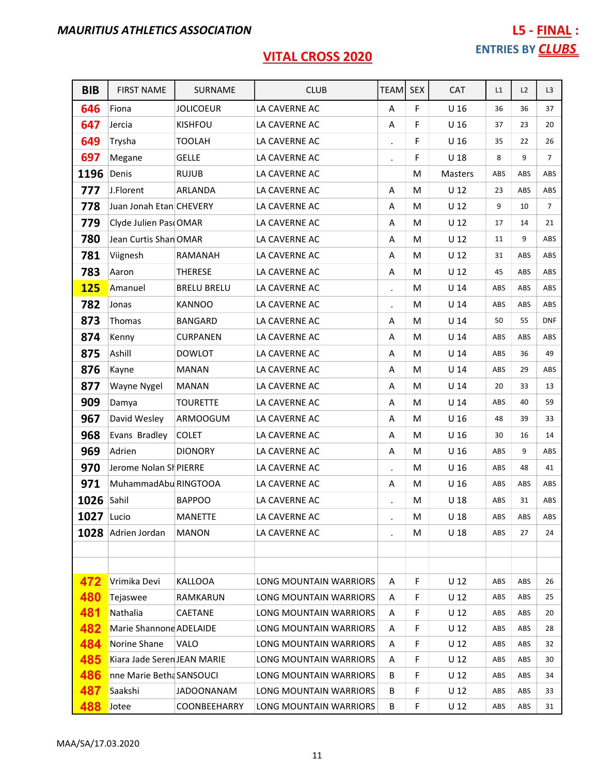| <b>BIB</b> | <b>FIRST NAME</b>           | SURNAME             | <b>CLUB</b>                   | TEAM           | <b>SEX</b> | <b>CAT</b>      | L1  | L2         | L3             |
|------------|-----------------------------|---------------------|-------------------------------|----------------|------------|-----------------|-----|------------|----------------|
| 646        | Fiona                       | <b>JOLICOEUR</b>    | LA CAVERNE AC                 | Α              | F          | U <sub>16</sub> | 36  | 36         | 37             |
| 647        | Jercia                      | <b>KISHFOU</b>      | LA CAVERNE AC                 | Α              | F          | U <sub>16</sub> | 37  | 23         | 20             |
| 649        | Trysha                      | <b>TOOLAH</b>       | LA CAVERNE AC                 | $\bullet$      | F          | U <sub>16</sub> | 35  | 22         | 26             |
| 697        | Megane                      | <b>GELLE</b>        | LA CAVERNE AC                 |                | F          | U <sub>18</sub> | 8   | 9          | $\overline{7}$ |
| 1196       | Denis                       | <b>RUJUB</b>        | LA CAVERNE AC                 |                | M          | Masters         | ABS | ABS        | ABS            |
| 777        | J.Florent                   | ARLANDA             | LA CAVERNE AC                 | Α              | M          | U <sub>12</sub> | 23  | ABS        | ABS            |
| 778        | Juan Jonah Etan CHEVERY     |                     | LA CAVERNE AC                 | Α              | M          | U <sub>12</sub> | 9   | 10         | $\overline{7}$ |
| 779        | Clyde Julien Pas OMAR       |                     | LA CAVERNE AC                 | Α              | M          | U <sub>12</sub> | 17  | 14         | 21             |
| 780        | Jean Curtis Shan OMAR       |                     | LA CAVERNE AC                 | A              | M          | $U$ 12          | 11  | 9          | ABS            |
| 781        | Viignesh                    | RAMANAH             | LA CAVERNE AC                 | Α              | M          | U <sub>12</sub> | 31  | ABS        | ABS            |
| 783        | Aaron                       | <b>THERESE</b>      | LA CAVERNE AC                 | Α              | M          | U <sub>12</sub> | 45  | ABS        | ABS            |
| <b>125</b> | Amanuel                     | <b>BRELU BRELU</b>  | LA CAVERNE AC                 |                | М          | U <sub>14</sub> | ABS | ABS        | ABS            |
| 782        | Jonas                       | <b>KANNOO</b>       | LA CAVERNE AC                 | $\cdot$        | M          | U <sub>14</sub> | ABS | ABS        | ABS            |
| 873        | Thomas                      | BANGARD             | LA CAVERNE AC                 | Α              | M          | $U$ 14          | 50  | 55         | <b>DNF</b>     |
| 874        | Kenny                       | <b>CURPANEN</b>     | LA CAVERNE AC                 | Α              | M          | $U$ 14          | ABS | ABS        | ABS            |
| 875        | Ashill                      | <b>DOWLOT</b>       | LA CAVERNE AC                 | Α              | M          | $U$ 14          | ABS | 36         | 49             |
| 876        | Kayne                       | <b>MANAN</b>        | LA CAVERNE AC                 | Α              | M          | U <sub>14</sub> | ABS | 29         | ABS            |
| 877        | Wayne Nygel                 | <b>MANAN</b>        | LA CAVERNE AC                 | A              | M          | U <sub>14</sub> | 20  | 33         | 13             |
| 909        | Damya                       | <b>TOURETTE</b>     | LA CAVERNE AC                 | Α              | M          | $U$ 14          | ABS | 40         | 59             |
| 967        | David Wesley                | ARMOOGUM            | LA CAVERNE AC                 | Α              | М          | U <sub>16</sub> | 48  | 39         | 33             |
| 968        | Evans Bradley               | <b>COLET</b>        | LA CAVERNE AC                 | Α              | M          | U <sub>16</sub> | 30  | 16         | 14             |
| 969        | Adrien                      | <b>DIONORY</b>      | LA CAVERNE AC                 | Α              | M          | U <sub>16</sub> | ABS | 9          | ABS            |
| 970        | Jerome Nolan SI PIERRE      |                     | LA CAVERNE AC                 | $\blacksquare$ | M          | U <sub>16</sub> | ABS | 48         | 41             |
| 971        | MuhammadAbu RINGTOOA        |                     | LA CAVERNE AC                 | Α              | M          | U <sub>16</sub> | ABS | ABS        | ABS            |
| 1026       | Sahil                       | <b>BAPPOO</b>       | LA CAVERNE AC                 | $\blacksquare$ | M          | $U$ 18          | ABS | 31         | ABS            |
| 1027 Lucio |                             | <b>MANETTE</b>      | LA CAVERNE AC                 | $\bullet$      | M          | $U$ 18          | ABS | ABS        | ABS            |
| 1028       | Adrien Jordan               | <b>MANON</b>        | LA CAVERNE AC                 | $\bullet$      | м          | U <sub>18</sub> | ABS | 27         | 24             |
|            |                             |                     |                               |                |            |                 |     |            |                |
|            |                             |                     |                               |                |            |                 |     |            |                |
| 472        | Vrimika Devi                | <b>KALLOOA</b>      | LONG MOUNTAIN WARRIORS        | A              | F          | U <sub>12</sub> | ABS | ABS        | 26             |
| 480        | Tejaswee                    | <b>RAMKARUN</b>     | LONG MOUNTAIN WARRIORS        | Α              | F          | U <sub>12</sub> | ABS | ABS        | 25             |
| 481        | Nathalia                    | CAETANE             | <b>LONG MOUNTAIN WARRIORS</b> | Α              | F          | U <sub>12</sub> | ABS | <b>ABS</b> | 20             |
| 482        | Marie Shannone ADELAIDE     |                     | LONG MOUNTAIN WARRIORS        | A              | F          | U <sub>12</sub> | ABS | ABS        | 28             |
| 484        | Norine Shane                | VALO                | LONG MOUNTAIN WARRIORS        | Α              | F          | U <sub>12</sub> | ABS | ABS        | 32             |
| 485        | Kiara Jade Seren JEAN MARIE |                     | LONG MOUNTAIN WARRIORS        | A              | F          | U <sub>12</sub> | ABS | <b>ABS</b> | 30             |
| 486        | nne Marie Betha SANSOUCI    |                     | LONG MOUNTAIN WARRIORS        | B              | F          | U <sub>12</sub> | ABS | ABS        | 34             |
| 487        | Saakshi                     | <b>JADOONANAM</b>   | LONG MOUNTAIN WARRIORS        | B              | F          | U <sub>12</sub> | ABS | <b>ABS</b> | 33             |
| 488        | Jotee                       | <b>COONBEEHARRY</b> | LONG MOUNTAIN WARRIORS        | В              | F          | U <sub>12</sub> | ABS | ABS        | 31             |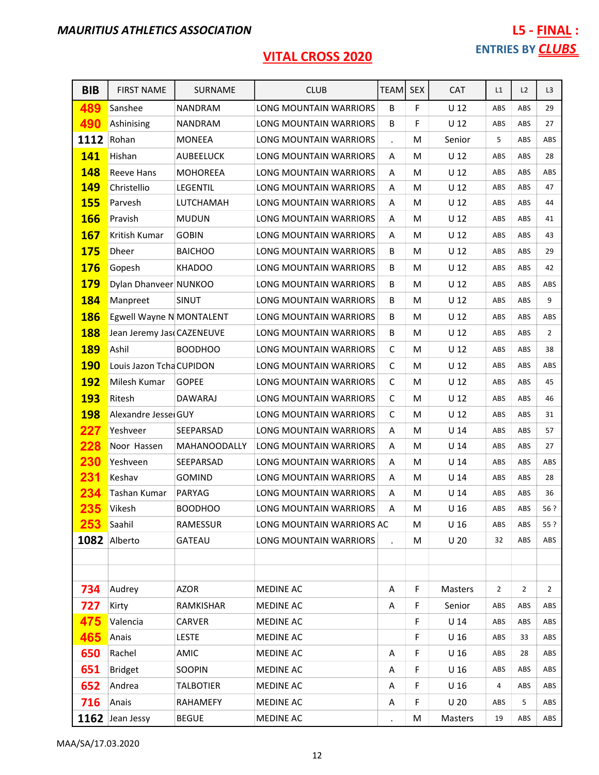| <b>BIB</b> | <b>FIRST NAME</b>         | SURNAME          | <b>CLUB</b>                   | <b>TEAM</b>          | <b>SEX</b> | CAT             | L1  | L2  | L <sub>3</sub> |
|------------|---------------------------|------------------|-------------------------------|----------------------|------------|-----------------|-----|-----|----------------|
| 489        | Sanshee                   | <b>NANDRAM</b>   | LONG MOUNTAIN WARRIORS        | B                    | F          | $U$ 12          | ABS | ABS | 29             |
| 490        | Ashinising                | <b>NANDRAM</b>   | LONG MOUNTAIN WARRIORS        | B                    | F          | U <sub>12</sub> | ABS | ABS | 27             |
| 1112       | Rohan                     | <b>MONEEA</b>    | LONG MOUNTAIN WARRIORS        | $\ddot{\phantom{a}}$ | M          | Senior          | 5   | ABS | ABS            |
| 141        | Hishan                    | <b>AUBEELUCK</b> | LONG MOUNTAIN WARRIORS        | Α                    | M          | U <sub>12</sub> | ABS | ABS | 28             |
| 148        | <b>Reeve Hans</b>         | <b>MOHOREEA</b>  | LONG MOUNTAIN WARRIORS        | A                    | M          | U <sub>12</sub> | ABS | ABS | ABS            |
| <b>149</b> | Christellio               | <b>LEGENTIL</b>  | <b>LONG MOUNTAIN WARRIORS</b> | A                    | M          | U <sub>12</sub> | ABS | ABS | 47             |
| <b>155</b> | Parvesh                   | LUTCHAMAH        | <b>LONG MOUNTAIN WARRIORS</b> | Α                    | M          | U <sub>12</sub> | ABS | ABS | 44             |
| <b>166</b> | Pravish                   | <b>MUDUN</b>     | LONG MOUNTAIN WARRIORS        | Α                    | M          | $U$ 12          | ABS | ABS | 41             |
| <b>167</b> | Kritish Kumar             | <b>GOBIN</b>     | LONG MOUNTAIN WARRIORS        | A                    | M          | U <sub>12</sub> | ABS | ABS | 43             |
| <b>175</b> | <b>Dheer</b>              | <b>BAICHOO</b>   | LONG MOUNTAIN WARRIORS        | B                    | M          | $U$ 12          | ABS | ABS | 29             |
| <b>176</b> | Gopesh                    | <b>KHADOO</b>    | LONG MOUNTAIN WARRIORS        | B                    | M          | U <sub>12</sub> | ABS | ABS | 42             |
| <b>179</b> | Dylan Dhanveer NUNKOO     |                  | LONG MOUNTAIN WARRIORS        | B                    | M          | U <sub>12</sub> | ABS | ABS | ABS            |
| <b>184</b> | Manpreet                  | SINUT            | LONG MOUNTAIN WARRIORS        | B                    | M          | U <sub>12</sub> | ABS | ABS | 9              |
| <b>186</b> | Egwell Wayne N MONTALENT  |                  | LONG MOUNTAIN WARRIORS        | B                    | M          | U <sub>12</sub> | ABS | ABS | ABS            |
| <b>188</b> | Jean Jeremy Jas CAZENEUVE |                  | LONG MOUNTAIN WARRIORS        | B                    | M          | $U$ 12          | ABS | ABS | $\overline{2}$ |
| <b>189</b> | Ashil                     | <b>BOODHOO</b>   | LONG MOUNTAIN WARRIORS        | C                    | M          | U <sub>12</sub> | ABS | ABS | 38             |
| <b>190</b> | Louis Jazon Tcha CUPIDON  |                  | LONG MOUNTAIN WARRIORS        | C                    | M          | U <sub>12</sub> | ABS | ABS | ABS            |
| <b>192</b> | Milesh Kumar              | <b>GOPEE</b>     | LONG MOUNTAIN WARRIORS        | $\mathsf C$          | M          | U <sub>12</sub> | ABS | ABS | 45             |
| <b>193</b> | Ritesh                    | <b>DAWARAJ</b>   | LONG MOUNTAIN WARRIORS        | $\mathsf{C}$         | M          | $U$ 12          | ABS | ABS | 46             |
| <b>198</b> | Alexandre Jessei GUY      |                  | LONG MOUNTAIN WARRIORS        | $\mathsf{C}$         | M          | U <sub>12</sub> | ABS | ABS | 31             |
| 227        | Yeshveer                  | SEEPARSAD        | LONG MOUNTAIN WARRIORS        | Α                    | M          | U <sub>14</sub> | ABS | ABS | 57             |
| 228        | Noor Hassen               | MAHANOODALLY     | LONG MOUNTAIN WARRIORS        | A                    | M          | U <sub>14</sub> | ABS | ABS | 27             |
| 230        | Yeshveen                  | SEEPARSAD        | <b>LONG MOUNTAIN WARRIORS</b> | Α                    | M          | U <sub>14</sub> | ABS | ABS | ABS            |
| 231        | Keshav                    | <b>GOMIND</b>    | LONG MOUNTAIN WARRIORS        | Α                    | M          | U <sub>14</sub> | ABS | ABS | 28             |
| 234        | Tashan Kumar              | PARYAG           | <b>LONG MOUNTAIN WARRIORS</b> | A                    | M          | U <sub>14</sub> | ABS | ABS | 36             |
| 235        | Vikesh                    | <b>BOODHOO</b>   | <b>LONG MOUNTAIN WARRIORS</b> | Α                    | M          | U <sub>16</sub> | ABS | ABS | 56 ?           |
| 253        | Saahil                    | RAMESSUR         | LONG MOUNTAIN WARRIORS AC     |                      | M          | U <sub>16</sub> | ABS | ABS | 55 ?           |
| 1082       | Alberto                   | <b>GATEAU</b>    | LONG MOUNTAIN WARRIORS        |                      | M          | U <sub>20</sub> | 32  | ABS | ABS            |
|            |                           |                  |                               |                      |            |                 |     |     |                |
|            |                           |                  |                               |                      |            |                 |     |     |                |
| 734        | Audrey                    | <b>AZOR</b>      | MEDINE AC                     | Α                    | F          | <b>Masters</b>  | 2   | 2   | $\overline{2}$ |
| 727        | Kirty                     | RAMKISHAR        | <b>MEDINE AC</b>              | Α                    | F          | Senior          | ABS | ABS | ABS            |
| 475        | Valencia                  | CARVER           | <b>MEDINE AC</b>              |                      | F          | $U$ 14          | ABS | ABS | ABS            |
| 465        | Anais                     | <b>LESTE</b>     | MEDINE AC                     |                      | F          | U <sub>16</sub> | ABS | 33  | ABS            |
| 650        | Rachel                    | AMIC             | MEDINE AC                     | Α                    | F          | U <sub>16</sub> | ABS | 28  | ABS            |
| 651        | <b>Bridget</b>            | SOOPIN           | MEDINE AC                     | Α                    | F          | U <sub>16</sub> | ABS | ABS | ABS            |
| 652        | Andrea                    | <b>TALBOTIER</b> | MEDINE AC                     | Α                    | F          | U <sub>16</sub> | 4   | ABS | ABS            |
| 716        | Anais                     | RAHAMEFY         | <b>MEDINE AC</b>              | Α                    | F          | U <sub>20</sub> | ABS | 5   | ABS            |
|            | 1162 Jean Jessy           | <b>BEGUE</b>     | MEDINE AC                     |                      | M          | Masters         | 19  | ABS | ABS            |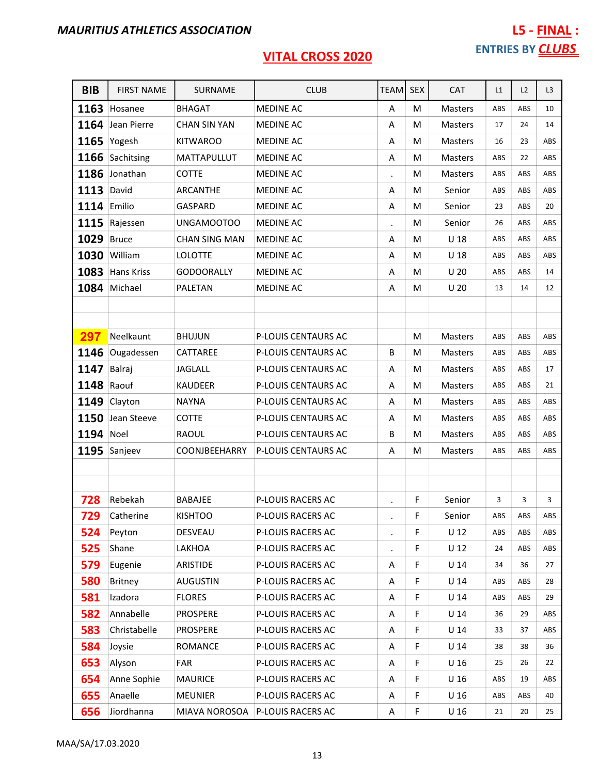# L5 - FINAL : ENTRIES BY **CLUBS**

| <b>BIB</b> | <b>FIRST NAME</b> | SURNAME              | <b>CLUB</b>              | <b>TEAM</b>          | <b>SEX</b> | <b>CAT</b>      | L1  | L2         | L <sub>3</sub> |
|------------|-------------------|----------------------|--------------------------|----------------------|------------|-----------------|-----|------------|----------------|
| 1163       | Hosanee           | <b>BHAGAT</b>        | <b>MEDINE AC</b>         | A                    | M          | Masters         | ABS | ABS        | 10             |
| 1164       | Jean Pierre       | <b>CHAN SIN YAN</b>  | <b>MEDINE AC</b>         | A                    | M          | Masters         | 17  | 24         | 14             |
|            | 1165 Yogesh       | <b>KITWAROO</b>      | <b>MEDINE AC</b>         | Α                    | M          | <b>Masters</b>  | 16  | 23         | ABS            |
| 1166       | Sachitsing        | MATTAPULLUT          | MEDINE AC                | Α                    | M          | <b>Masters</b>  | ABS | 22         | ABS            |
| 1186       | Jonathan          | <b>COTTE</b>         | MEDINE AC                | $\blacksquare$       | M          | Masters         | ABS | ABS        | ABS            |
| 1113       | David             | ARCANTHE             | <b>MEDINE AC</b>         | Α                    | M          | Senior          | ABS | ABS        | ABS            |
| 1114       | Emilio            | GASPARD              | <b>MEDINE AC</b>         | A                    | M          | Senior          | 23  | ABS        | 20             |
| 1115       | Rajessen          | UNGAMOOTOO           | <b>MEDINE AC</b>         |                      | M          | Senior          | 26  | ABS        | ABS            |
| 1029       | <b>Bruce</b>      | <b>CHAN SING MAN</b> | <b>MEDINE AC</b>         | Α                    | M          | $U$ 18          | ABS | ABS        | ABS            |
| 1030       | William           | <b>LOLOTTE</b>       | MEDINE AC                | Α                    | M          | U <sub>18</sub> | ABS | ABS        | ABS            |
| 1083       | <b>Hans Kriss</b> | <b>GODOORALLY</b>    | <b>MEDINE AC</b>         | Α                    | M          | U <sub>20</sub> | ABS | ABS        | 14             |
| 1084       | Michael           | <b>PALETAN</b>       | MEDINE AC                | Α                    | M          | U <sub>20</sub> | 13  | 14         | 12             |
|            |                   |                      |                          |                      |            |                 |     |            |                |
|            |                   |                      |                          |                      |            |                 |     |            |                |
| 297        | Neelkaunt         | <b>BHUJUN</b>        | P-LOUIS CENTAURS AC      |                      | M          | <b>Masters</b>  | ABS | <b>ABS</b> | ABS            |
| 1146       | Ougadessen        | CATTAREE             | P-LOUIS CENTAURS AC      | B                    | M          | Masters         | ABS | ABS        | ABS            |
| 1147       | Balraj            | <b>JAGLALL</b>       | P-LOUIS CENTAURS AC      | A                    | M          | Masters         | ABS | ABS        | 17             |
| 1148       | Raouf             | <b>KAUDEER</b>       | P-LOUIS CENTAURS AC      | Α                    | M          | Masters         | ABS | ABS        | 21             |
| 1149       | Clayton           | <b>NAYNA</b>         | P-LOUIS CENTAURS AC      | Α                    | M          | Masters         | ABS | ABS        | ABS            |
| 1150       | Jean Steeve       | <b>COTTE</b>         | P-LOUIS CENTAURS AC      | Α                    | M          | Masters         | ABS | ABS        | ABS            |
| 1194 Noel  |                   | RAOUL                | P-LOUIS CENTAURS AC      | B                    | M          | Masters         | ABS | ABS        | ABS            |
| 1195       | Sanjeev           | COONJBEEHARRY        | P-LOUIS CENTAURS AC      | A                    | M          | <b>Masters</b>  | ABS | ABS        | ABS            |
|            |                   |                      |                          |                      |            |                 |     |            |                |
|            |                   |                      |                          |                      |            |                 |     |            |                |
| 728        | Rebekah           | <b>BABAJEE</b>       | P-LOUIS RACERS AC        | $\ddot{\phantom{0}}$ | F          | Senior          | 3   | 3          | 3              |
| 729        | Catherine         | <b>KISHTOO</b>       | P-LOUIS RACERS AC        |                      | F.         | Senior          | ABS | ABS        | ABS            |
| 524        | Peyton            | DESVEAU              | <b>P-LOUIS RACERS AC</b> | $\blacksquare$       | F          | $U$ 12          | ABS | ABS        | ABS            |
| 525        | Shane             | LAKHOA               | P-LOUIS RACERS AC        |                      | F          | $U$ 12          | 24  | ABS        | ABS            |
| 579        | Eugenie           | ARISTIDE             | P-LOUIS RACERS AC        | Α                    | F          | U <sub>14</sub> | 34  | 36         | 27             |
| 580        | <b>Britney</b>    | <b>AUGUSTIN</b>      | <b>P-LOUIS RACERS AC</b> | Α                    | F          | U <sub>14</sub> | ABS | ABS        | 28             |
| 581        | Izadora           | <b>FLORES</b>        | P-LOUIS RACERS AC        | Α                    | F          | $U$ 14          | ABS | ABS        | 29             |
| 582        | Annabelle         | <b>PROSPERE</b>      | P-LOUIS RACERS AC        | Α                    | F          | U <sub>14</sub> | 36  | 29         | ABS            |
| 583        | Christabelle      | <b>PROSPERE</b>      | P-LOUIS RACERS AC        | Α                    | F          | U <sub>14</sub> | 33  | 37         | ABS            |
| 584        | Joysie            | ROMANCE              | P-LOUIS RACERS AC        | Α                    | F          | $U$ 14          | 38  | 38         | 36             |
| 653        | Alyson            | FAR                  | P-LOUIS RACERS AC        | Α                    | F          | U <sub>16</sub> | 25  | 26         | 22             |
| 654        | Anne Sophie       | <b>MAURICE</b>       | P-LOUIS RACERS AC        | Α                    | F          | U <sub>16</sub> | ABS | 19         | ABS            |
| 655        | Anaelle           | <b>MEUNIER</b>       | P-LOUIS RACERS AC        | Α                    | F          | U <sub>16</sub> | ABS | <b>ABS</b> | 40             |
| 656        | Jiordhanna        | MIAVA NOROSOA        | P-LOUIS RACERS AC        | Α                    | F          | U <sub>16</sub> | 21  | 20         | 25             |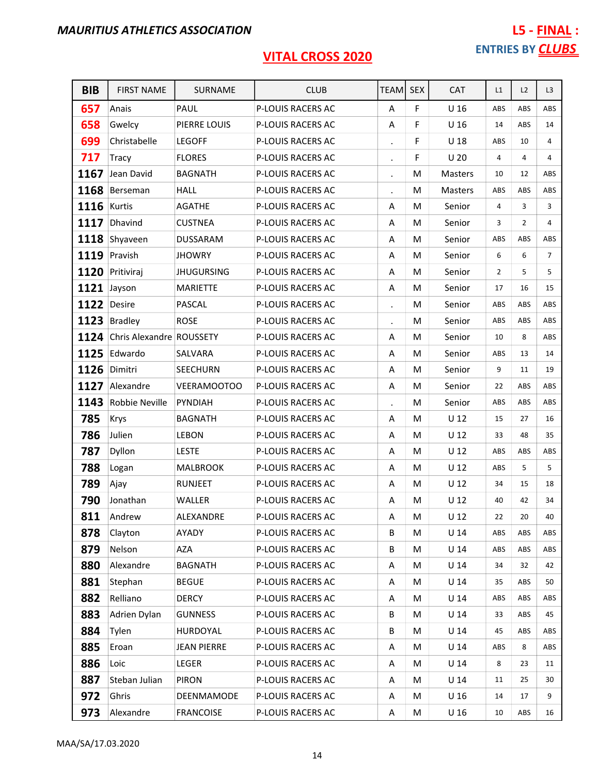| <b>BIB</b>  | <b>FIRST NAME</b>             | <b>SURNAME</b>     | <b>CLUB</b>              | <b>TEAM</b>          | <b>SEX</b> | CAT             | L1  | L2             | L <sub>3</sub> |
|-------------|-------------------------------|--------------------|--------------------------|----------------------|------------|-----------------|-----|----------------|----------------|
| 657         | Anais                         | PAUL               | P-LOUIS RACERS AC        | Α                    | F          | U <sub>16</sub> | ABS | ABS            | ABS            |
| 658         | Gwelcy                        | PIERRE LOUIS       | P-LOUIS RACERS AC        | Α                    | F          | U <sub>16</sub> | 14  | ABS            | 14             |
| 699         | Christabelle                  | <b>LEGOFF</b>      | P-LOUIS RACERS AC        | $\bullet$            | F          | U <sub>18</sub> | ABS | 10             | $\overline{4}$ |
| 717         | <b>Tracy</b>                  | <b>FLORES</b>      | P-LOUIS RACERS AC        | $\cdot$              | F          | U <sub>20</sub> | 4   | 4              | 4              |
| 1167        | Jean David                    | <b>BAGNATH</b>     | P-LOUIS RACERS AC        | $\ddot{\phantom{0}}$ | М          | Masters         | 10  | 12             | ABS            |
|             | 1168 Berseman                 | <b>HALL</b>        | P-LOUIS RACERS AC        |                      | M          | Masters         | ABS | ABS            | ABS            |
| 1116        | Kurtis                        | <b>AGATHE</b>      | P-LOUIS RACERS AC        | Α                    | M          | Senior          | 4   | 3              | 3              |
| 1117        | Dhavind                       | <b>CUSTNEA</b>     | P-LOUIS RACERS AC        | Α                    | M          | Senior          | 3   | $\overline{2}$ | 4              |
|             | 1118 Shyaveen                 | DUSSARAM           | P-LOUIS RACERS AC        | Α                    | M          | Senior          | ABS | ABS            | ABS            |
| 1119        | Pravish                       | <b>JHOWRY</b>      | P-LOUIS RACERS AC        | A                    | M          | Senior          | 6   | 6              | $\overline{7}$ |
|             | 1120 Pritiviraj               | <b>JHUGURSING</b>  | P-LOUIS RACERS AC        | Α                    | M          | Senior          | 2   | 5              | 5              |
| 1121 Jayson |                               | <b>MARIETTE</b>    | P-LOUIS RACERS AC        | Α                    | M          | Senior          | 17  | 16             | 15             |
| 1122 Desire |                               | <b>PASCAL</b>      | P-LOUIS RACERS AC        |                      | M          | Senior          | ABS | ABS            | ABS            |
|             | 1123 Bradley                  | <b>ROSE</b>        | P-LOUIS RACERS AC        | $\blacksquare$       | M          | Senior          | ABS | ABS            | ABS            |
|             | 1124 Chris Alexandre ROUSSETY |                    | P-LOUIS RACERS AC        | Α                    | M          | Senior          | 10  | 8              | ABS            |
|             | 1125 Edwardo                  | SALVARA            | P-LOUIS RACERS AC        | Α                    | M          | Senior          | ABS | 13             | 14             |
| 1126        | Dimitri                       | <b>SEECHURN</b>    | P-LOUIS RACERS AC        | Α                    | M          | Senior          | 9   | 11             | 19             |
| 1127        | Alexandre                     | <b>VEERAMOOTOO</b> | P-LOUIS RACERS AC        | Α                    | M          | Senior          | 22  | ABS            | ABS            |
| 1143        | Robbie Neville                | PYNDIAH            | P-LOUIS RACERS AC        |                      | M          | Senior          | ABS | ABS            | ABS            |
| 785         | Krys                          | <b>BAGNATH</b>     | P-LOUIS RACERS AC        | Α                    | M          | U <sub>12</sub> | 15  | 27             | 16             |
| 786         | Julien                        | LEBON              | P-LOUIS RACERS AC        | A                    | M          | U <sub>12</sub> | 33  | 48             | 35             |
| 787         | Dyllon                        | <b>LESTE</b>       | P-LOUIS RACERS AC        | Α                    | M          | U <sub>12</sub> | ABS | ABS            | ABS            |
| 788         | Logan                         | <b>MALBROOK</b>    | P-LOUIS RACERS AC        | Α                    | M          | $U$ 12          | ABS | 5              | 5              |
| 789         | Ajay                          | <b>RUNJEET</b>     | P-LOUIS RACERS AC        | Α                    | M          | U <sub>12</sub> | 34  | 15             | 18             |
| 790         | Jonathan                      | WALLER             | P-LOUIS RACERS AC        | A                    | M          | $U$ 12          | 40  | 42             | 34             |
| 811         | Andrew                        | ALEXANDRE          | P-LOUIS RACERS AC        | A                    | M          | $U$ 12          | 22  | 20             | 40             |
| 878         | Clayton                       | AYADY              | <b>P-LOUIS RACERS AC</b> | B                    | М          | U <sub>14</sub> | ABS | ABS            | ABS            |
| 879         | Nelson                        | AZA                | P-LOUIS RACERS AC        | B                    | М          | $U$ 14          | ABS | ABS            | ABS            |
| 880         | Alexandre                     | <b>BAGNATH</b>     | P-LOUIS RACERS AC        | Α                    | М          | U <sub>14</sub> | 34  | 32             | 42             |
| 881         | Stephan                       | <b>BEGUE</b>       | P-LOUIS RACERS AC        | Α                    | М          | $U$ 14          | 35  | ABS            | 50             |
| 882         | Relliano                      | <b>DERCY</b>       | P-LOUIS RACERS AC        | Α                    | М          | $U$ 14          | ABS | ABS            | ABS            |
| 883         | Adrien Dylan                  | <b>GUNNESS</b>     | P-LOUIS RACERS AC        | B                    | M          | U <sub>14</sub> | 33  | ABS            | 45             |
| 884         | Tylen                         | HURDOYAL           | P-LOUIS RACERS AC        | В                    | M          | $U$ 14          | 45  | ABS            | ABS            |
| 885         | Eroan                         | <b>JEAN PIERRE</b> | P-LOUIS RACERS AC        | Α                    | M          | $U$ 14          | ABS | 8              | ABS            |
| 886         | Loic                          | LEGER              | P-LOUIS RACERS AC        | Α                    | M          | U <sub>14</sub> | 8   | 23             | 11             |
| 887         | Steban Julian                 | <b>PIRON</b>       | P-LOUIS RACERS AC        | Α                    | М          | $U$ 14          | 11  | 25             | 30             |
| 972         | Ghris                         | DEENMAMODE         | P-LOUIS RACERS AC        | Α                    | M          | U <sub>16</sub> | 14  | 17             | 9              |
| 973         | Alexandre                     | <b>FRANCOISE</b>   | P-LOUIS RACERS AC        | Α                    | М          | U <sub>16</sub> | 10  | ABS            | 16             |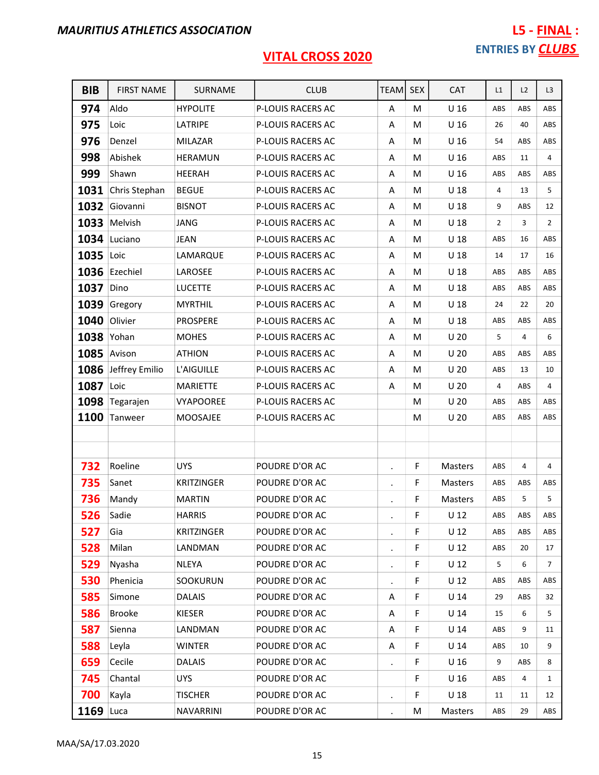| <b>BIB</b>  | <b>FIRST NAME</b>   | SURNAME           | <b>CLUB</b>       | <b>TEAM</b>    | <b>SEX</b> | CAT             | L1             | L2  | L <sub>3</sub> |
|-------------|---------------------|-------------------|-------------------|----------------|------------|-----------------|----------------|-----|----------------|
| 974         | Aldo                | <b>HYPOLITE</b>   | P-LOUIS RACERS AC | Α              | M          | U <sub>16</sub> | ABS            | ABS | ABS            |
| 975         | Loic                | LATRIPE           | P-LOUIS RACERS AC | Α              | M          | U <sub>16</sub> | 26             | 40  | ABS            |
| 976         | Denzel              | <b>MILAZAR</b>    | P-LOUIS RACERS AC | Α              | м          | U <sub>16</sub> | 54             | ABS | ABS            |
| 998         | Abishek             | <b>HERAMUN</b>    | P-LOUIS RACERS AC | A              | M          | U <sub>16</sub> | ABS            | 11  | $\overline{4}$ |
| 999         | Shawn               | <b>HEERAH</b>     | P-LOUIS RACERS AC | Α              | M          | U <sub>16</sub> | ABS            | ABS | ABS            |
| 1031        | Chris Stephan       | <b>BEGUE</b>      | P-LOUIS RACERS AC | Α              | M          | U <sub>18</sub> | 4              | 13  | 5              |
| 1032        | Giovanni            | <b>BISNOT</b>     | P-LOUIS RACERS AC | Α              | M          | U <sub>18</sub> | 9              | ABS | 12             |
|             | 1033 Melvish        | JANG              | P-LOUIS RACERS AC | A              | м          | U <sub>18</sub> | $\overline{2}$ | 3   | $\overline{2}$ |
| 1034        | Luciano             | <b>JEAN</b>       | P-LOUIS RACERS AC | Α              | м          | U <sub>18</sub> | ABS            | 16  | ABS            |
| 1035        | Loic                | LAMARQUE          | P-LOUIS RACERS AC | Α              | M          | U <sub>18</sub> | 14             | 17  | 16             |
|             | 1036 Ezechiel       | LAROSEE           | P-LOUIS RACERS AC | Α              | М          | U <sub>18</sub> | ABS            | ABS | ABS            |
| 1037        | Dino                | <b>LUCETTE</b>    | P-LOUIS RACERS AC | Α              | M          | U <sub>18</sub> | ABS            | ABS | ABS            |
| 1039        | Gregory             | <b>MYRTHIL</b>    | P-LOUIS RACERS AC | Α              | м          | U <sub>18</sub> | 24             | 22  | 20             |
| 1040        | Olivier             | <b>PROSPERE</b>   | P-LOUIS RACERS AC | Α              | M          | $U$ 18          | ABS            | ABS | ABS            |
| 1038        | Yohan               | <b>MOHES</b>      | P-LOUIS RACERS AC | Α              | M          | U <sub>20</sub> | 5              | 4   | 6              |
| 1085        | Avison              | <b>ATHION</b>     | P-LOUIS RACERS AC | Α              | М          | U <sub>20</sub> | ABS            | ABS | ABS            |
|             | 1086 Jeffrey Emilio | L'AIGUILLE        | P-LOUIS RACERS AC | A              | M          | U <sub>20</sub> | ABS            | 13  | 10             |
| 1087        | Loic                | <b>MARIETTE</b>   | P-LOUIS RACERS AC | A              | M          | U <sub>20</sub> | 4              | ABS | 4              |
| 1098        | Tegarajen           | <b>VYAPOOREE</b>  | P-LOUIS RACERS AC |                | M          | U <sub>20</sub> | ABS            | ABS | ABS            |
| 1100        | Tanweer             | <b>MOOSAJEE</b>   | P-LOUIS RACERS AC |                | M          | U <sub>20</sub> | ABS            | ABS | ABS            |
|             |                     |                   |                   |                |            |                 |                |     |                |
|             |                     |                   |                   |                |            |                 |                |     |                |
| 732         | Roeline             | <b>UYS</b>        | POUDRE D'OR AC    | $\bullet$      | F          | <b>Masters</b>  | ABS            | 4   | 4              |
| 735         | Sanet               | <b>KRITZINGER</b> | POUDRE D'OR AC    | $\bullet$      | F          | Masters         | ABS            | ABS | ABS            |
| 736         | Mandy               | <b>MARTIN</b>     | POUDRE D'OR AC    |                | F          | <b>Masters</b>  | ABS            | 5   | 5              |
| 526         | Sadie               | <b>HARRIS</b>     | POUDRE D'OR AC    |                | F          | $U$ 12          | ABS            | ABS | ABS            |
| 527         | Gia                 | <b>KRITZINGER</b> | POUDRE D'OR AC    |                | F          | U <sub>12</sub> | ABS            | ABS | ABS            |
| 528         | Milan               | LANDMAN           | POUDRE D'OR AC    |                | F          | U <sub>12</sub> | ABS            | 20  | 17             |
| 529         | Nyasha              | <b>NLEYA</b>      | POUDRE D'OR AC    | $\bullet$      | F          | $U$ 12          | 5              | 6   | $\overline{7}$ |
| 530         | Phenicia            | SOOKURUN          | POUDRE D'OR AC    |                | F          | U <sub>12</sub> | ABS            | ABS | ABS            |
| 585         | Simone              | <b>DALAIS</b>     | POUDRE D'OR AC    | Α              | F          | $U$ 14          | 29             | ABS | 32             |
| 586         | <b>Brooke</b>       | <b>KIESER</b>     | POUDRE D'OR AC    | Α              | F          | $U$ 14          | 15             | 6   | 5              |
| 587         | Sienna              | LANDMAN           | POUDRE D'OR AC    | Α              | F          | U <sub>14</sub> | ABS            | 9   | 11             |
| 588         | Leyla               | WINTER            | POUDRE D'OR AC    | Α              | F          | $U$ 14          | ABS            | 10  | 9              |
| 659         | Cecile              | <b>DALAIS</b>     | POUDRE D'OR AC    |                | F          | U <sub>16</sub> | 9              | ABS | 8              |
| 745         | Chantal             | UYS               | POUDRE D'OR AC    |                | F          | U <sub>16</sub> | ABS            | 4   | $\mathbf{1}$   |
| 700         | Kayla               | <b>TISCHER</b>    | POUDRE D'OR AC    |                | F          | U <sub>18</sub> | 11             | 11  | 12             |
| $1169$ Luca |                     | NAVARRINI         | POUDRE D'OR AC    | $\blacksquare$ | M          | Masters         | ABS            | 29  | ABS            |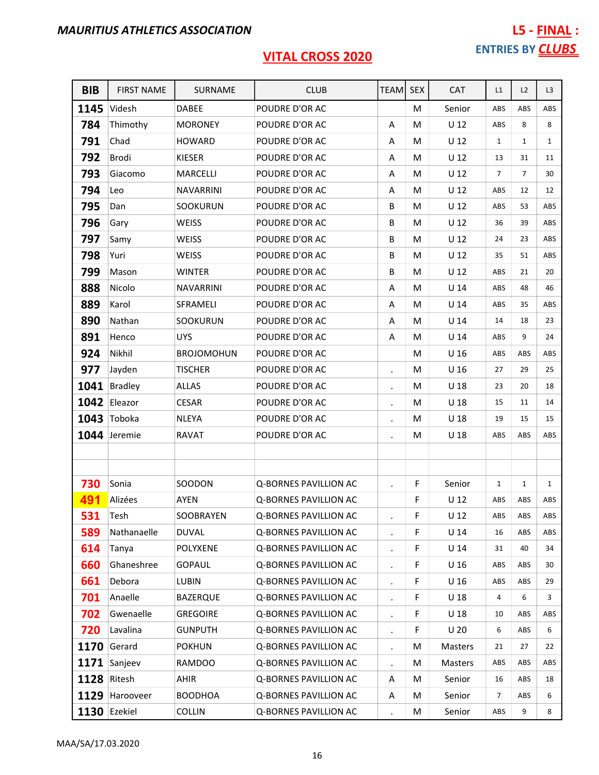| <b>BIB</b> | <b>FIRST NAME</b> | SURNAME           | <b>CLUB</b>                  | TEAM           | <b>SEX</b> | <b>CAT</b>      | L1             | L2             | L <sub>3</sub> |
|------------|-------------------|-------------------|------------------------------|----------------|------------|-----------------|----------------|----------------|----------------|
| 1145       | Videsh            | <b>DABEE</b>      | POUDRE D'OR AC               |                | M          | Senior          | ABS            | ABS            | ABS            |
| 784        | Thimothy          | <b>MORONEY</b>    | POUDRE D'OR AC               | A              | M          | U <sub>12</sub> | ABS            | 8              | 8              |
| 791        | Chad              | <b>HOWARD</b>     | POUDRE D'OR AC               | Α              | M          | U <sub>12</sub> | $\mathbf{1}$   | $\mathbf{1}$   | $\mathbf{1}$   |
| 792        | <b>Brodi</b>      | <b>KIESER</b>     | POUDRE D'OR AC               | A              | M          | U <sub>12</sub> | 13             | 31             | 11             |
| 793        | Giacomo           | <b>MARCELLI</b>   | POUDRE D'OR AC               | A              | M          | $U$ 12          | $\overline{7}$ | $\overline{7}$ | 30             |
| 794        | Leo               | <b>NAVARRINI</b>  | POUDRE D'OR AC               | Α              | M          | U <sub>12</sub> | ABS            | 12             | 12             |
| 795        | Dan               | SOOKURUN          | POUDRE D'OR AC               | B              | M          | U <sub>12</sub> | ABS            | 53             | ABS            |
| 796        | Gary              | <b>WEISS</b>      | POUDRE D'OR AC               | B              | M          | U <sub>12</sub> | 36             | 39             | ABS            |
| 797        | Samy              | <b>WEISS</b>      | POUDRE D'OR AC               | B              | M          | $U$ 12          | 24             | 23             | ABS            |
| 798        | Yuri              | <b>WEISS</b>      | POUDRE D'OR AC               | B              | M          | U <sub>12</sub> | 35             | 51             | ABS            |
| 799        | Mason             | <b>WINTER</b>     | POUDRE D'OR AC               | B              | M          | U <sub>12</sub> | ABS            | 21             | 20             |
| 888        | Nicolo            | <b>NAVARRINI</b>  | POUDRE D'OR AC               | Α              | M          | U <sub>14</sub> | ABS            | 48             | 46             |
| 889        | Karol             | SFRAMELI          | POUDRE D'OR AC               | A              | M          | U <sub>14</sub> | ABS            | 35             | ABS            |
| 890        | Nathan            | SOOKURUN          | POUDRE D'OR AC               | Α              | M          | U <sub>14</sub> | 14             | 18             | 23             |
| 891        | Henco             | <b>UYS</b>        | POUDRE D'OR AC               | Α              | M          | U <sub>14</sub> | ABS            | 9              | 24             |
| 924        | Nikhil            | <b>BROJOMOHUN</b> | POUDRE D'OR AC               |                | M          | U <sub>16</sub> | ABS            | ABS            | ABS            |
| 977        | Jayden            | <b>TISCHER</b>    | POUDRE D'OR AC               |                | M          | U <sub>16</sub> | 27             | 29             | 25             |
| 1041       | <b>Bradley</b>    | <b>ALLAS</b>      | POUDRE D'OR AC               | $\bullet$      | M          | U <sub>18</sub> | 23             | 20             | 18             |
|            | 1042 Eleazor      | <b>CESAR</b>      | POUDRE D'OR AC               | $\bullet$      | M          | U <sub>18</sub> | 15             | 11             | 14             |
|            | 1043 Toboka       | <b>NLEYA</b>      | POUDRE D'OR AC               |                | M          | U <sub>18</sub> | 19             | 15             | 15             |
|            | 1044 Jeremie      | <b>RAVAT</b>      | POUDRE D'OR AC               |                | M          | U <sub>18</sub> | ABS            | <b>ABS</b>     | ABS            |
|            |                   |                   |                              |                |            |                 |                |                |                |
|            |                   |                   |                              |                |            |                 |                |                |                |
| 730        | Sonia             | SOODON            | <b>Q-BORNES PAVILLION AC</b> |                | F          | Senior          | 1              | $\mathbf{1}$   | $\mathbf{1}$   |
| 491        | Alizées           | AYEN              | Q-BORNES PAVILLION AC        |                | F          | U <sub>12</sub> | ABS            | ABS            | ABS            |
| 531        | Tesh              | SOOBRAYEN         | Q-BORNES PAVILLION AC        |                | F.         | $U$ 12          | ABS            | ABS            | ABS            |
| 589        | Nathanaelle       | <b>DUVAL</b>      | <b>Q-BORNES PAVILLION AC</b> | ¥,             | F          | U <sub>14</sub> | 16             | ABS            | ABS            |
| 614        | Tanya             | <b>POLYXENE</b>   | <b>Q-BORNES PAVILLION AC</b> |                | F          | $U$ 14          | 31             | 40             | 34             |
| 660        | Ghaneshree        | <b>GOPAUL</b>     | Q-BORNES PAVILLION AC        | $\bullet$      | F          | U <sub>16</sub> | ABS            | ABS            | 30             |
| 661        | Debora            | <b>LUBIN</b>      | Q-BORNES PAVILLION AC        | $\bullet$      | F          | U <sub>16</sub> | ABS            | ABS            | 29             |
| 701        | Anaelle           | <b>BAZERQUE</b>   | Q-BORNES PAVILLION AC        | $\cdot$        | F          | U <sub>18</sub> | 4              | 6              | 3              |
| 702        | Gwenaelle         | <b>GREGOIRE</b>   | Q-BORNES PAVILLION AC        | $\blacksquare$ | F          | U <sub>18</sub> | 10             | ABS            | ABS            |
| 720        | Lavalina          | <b>GUNPUTH</b>    | Q-BORNES PAVILLION AC        |                | F          | U <sub>20</sub> | 6              | ABS            | 6              |
| 1170       | Gerard            | <b>POKHUN</b>     | Q-BORNES PAVILLION AC        | $\bullet$      | M          | Masters         | 21             | 27             | 22             |
|            | 1171 Sanjeev      | <b>RAMDOO</b>     | Q-BORNES PAVILLION AC        |                | M          | Masters         | ABS            | ABS            | ABS            |
| 1128       | Ritesh            | AHIR              | Q-BORNES PAVILLION AC        | Α              | M          | Senior          | 16             | ABS            | 18             |
| 1129       | Harooveer         | <b>BOODHOA</b>    | Q-BORNES PAVILLION AC        | A              | M          | Senior          | 7              | ABS            | 6              |
|            | 1130 Ezekiel      | COLLIN            | Q-BORNES PAVILLION AC        |                | M          | Senior          | ABS            | 9              | 8              |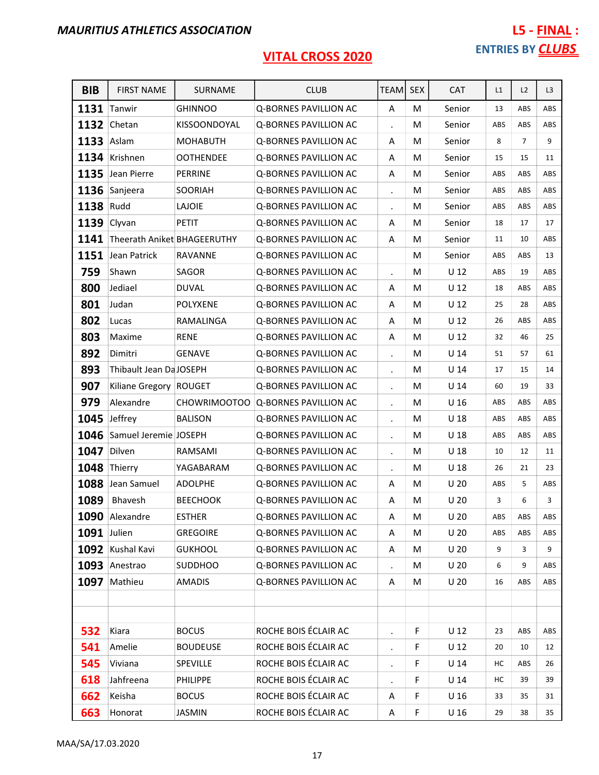| <b>BIB</b>         | <b>FIRST NAME</b>           | SURNAME          | <b>CLUB</b>                  | <b>TEAMI</b>         | <b>SEX</b> | <b>CAT</b>      | L1  | L2             | L3  |
|--------------------|-----------------------------|------------------|------------------------------|----------------------|------------|-----------------|-----|----------------|-----|
|                    | 1131 Tanwir                 | <b>GHINNOO</b>   | <b>Q-BORNES PAVILLION AC</b> | Α                    | M          | Senior          | 13  | ABS            | ABS |
| 1132               | Chetan                      | KISSOONDOYAL     | Q-BORNES PAVILLION AC        |                      | M          | Senior          | ABS | ABS            | ABS |
| 1133 Aslam         |                             | <b>MOHABUTH</b>  | Q-BORNES PAVILLION AC        | Α                    | M          | Senior          | 8   | $\overline{7}$ | 9   |
|                    | 1134 Krishnen               | <b>OOTHENDEE</b> | Q-BORNES PAVILLION AC        | Α                    | M          | Senior          | 15  | 15             | 11  |
| 1135               | Jean Pierre                 | PERRINE          | Q-BORNES PAVILLION AC        | Α                    | M          | Senior          | ABS | ABS            | ABS |
|                    | 1136 Sanjeera               | <b>SOORIAH</b>   | Q-BORNES PAVILLION AC        |                      | М          | Senior          | ABS | ABS            | ABS |
| 1138               | Rudd                        | LAJOIE           | Q-BORNES PAVILLION AC        |                      | м          | Senior          | ABS | ABS            | ABS |
| 1139 Clyvan        |                             | <b>PETIT</b>     | Q-BORNES PAVILLION AC        | A                    | M          | Senior          | 18  | 17             | 17  |
| 1141               | Theerath Aniket BHAGEERUTHY |                  | Q-BORNES PAVILLION AC        | Α                    | M          | Senior          | 11  | 10             | ABS |
| 1151               | Jean Patrick                | RAVANNE          | Q-BORNES PAVILLION AC        |                      | M          | Senior          | ABS | ABS            | 13  |
| 759                | Shawn                       | SAGOR            | Q-BORNES PAVILLION AC        |                      | M          | $U$ 12          | ABS | 19             | ABS |
| 800                | Jediael                     | <b>DUVAL</b>     | Q-BORNES PAVILLION AC        | Α                    | M          | U <sub>12</sub> | 18  | ABS            | ABS |
| 801                | Judan                       | <b>POLYXENE</b>  | Q-BORNES PAVILLION AC        | Α                    | M          | U <sub>12</sub> | 25  | 28             | ABS |
| 802                | Lucas                       | RAMALINGA        | <b>Q-BORNES PAVILLION AC</b> | Α                    | M          | U <sub>12</sub> | 26  | ABS            | ABS |
| 803                | Maxime                      | <b>RENE</b>      | Q-BORNES PAVILLION AC        | Α                    | M          | U <sub>12</sub> | 32  | 46             | 25  |
| 892                | Dimitri                     | <b>GENAVE</b>    | Q-BORNES PAVILLION AC        |                      | м          | $U$ 14          | 51  | 57             | 61  |
| 893                | Thibault Jean Da JOSEPH     |                  | Q-BORNES PAVILLION AC        |                      | M          | U <sub>14</sub> | 17  | 15             | 14  |
| 907                | Kiliane Gregory ROUGET      |                  | Q-BORNES PAVILLION AC        |                      | M          | U <sub>14</sub> | 60  | 19             | 33  |
| 979                | Alexandre                   | CHOWRIMOOTOO     | Q-BORNES PAVILLION AC        |                      | M          | U <sub>16</sub> | ABS | ABS            | ABS |
| 1045               | Jeffrey                     | <b>BALISON</b>   | Q-BORNES PAVILLION AC        |                      | M          | U <sub>18</sub> | ABS | ABS            | ABS |
|                    | 1046 Samuel Jeremie JOSEPH  |                  | Q-BORNES PAVILLION AC        |                      | M          | U <sub>18</sub> | ABS | ABS            | ABS |
| 1047               | Dilven                      | RAMSAMI          | Q-BORNES PAVILLION AC        | $\bullet$            | M          | U <sub>18</sub> | 10  | 12             | 11  |
| 1048               | Thierry                     | YAGABARAM        | Q-BORNES PAVILLION AC        | $\blacksquare$       | M          | U <sub>18</sub> | 26  | 21             | 23  |
| 1088               | Jean Samuel                 | <b>ADOLPHE</b>   | Q-BORNES PAVILLION AC        | Α                    | М          | U <sub>20</sub> | ABS | 5              | ABS |
| 1089               | Bhavesh                     | <b>BEECHOOK</b>  | Q-BORNES PAVILLION AC        | A                    | M          | U <sub>20</sub> | 3   | 6              | 3   |
|                    | 1090 Alexandre              | <b>ESTHER</b>    | Q-BORNES PAVILLION AC        | Α                    | M          | U <sub>20</sub> | ABS | ABS            | ABS |
| <b>1091</b> Julien |                             | <b>GREGOIRE</b>  | Q-BORNES PAVILLION AC        | A                    | M          | U <sub>20</sub> | ABS | ABS            | ABS |
|                    | 1092 Kushal Kavi            | <b>GUKHOOL</b>   | Q-BORNES PAVILLION AC        | Α                    | М          | U <sub>20</sub> | 9   | 3              | 9   |
|                    | 1093 Anestrao               | <b>SUDDHOO</b>   | Q-BORNES PAVILLION AC        |                      | М          | U <sub>20</sub> | 6   | 9              | ABS |
| 1097               | Mathieu                     | <b>AMADIS</b>    | Q-BORNES PAVILLION AC        | Α                    | M          | U <sub>20</sub> | 16  | ABS            | ABS |
|                    |                             |                  |                              |                      |            |                 |     |                |     |
|                    |                             |                  |                              |                      |            |                 |     |                |     |
| 532                | Kiara                       | <b>BOCUS</b>     | ROCHE BOIS ÉCLAIR AC         | $\ddot{\phantom{a}}$ | F          | U <sub>12</sub> | 23  | ABS            | ABS |
| 541                | Amelie                      | <b>BOUDEUSE</b>  | ROCHE BOIS ÉCLAIR AC         | $\ddot{\phantom{0}}$ | F          | $U$ 12          | 20  | 10             | 12  |
| 545                | Viviana                     | SPEVILLE         | ROCHE BOIS ÉCLAIR AC         |                      | F          | U <sub>14</sub> | НC  | ABS            | 26  |
| 618                | Jahfreena                   | <b>PHILIPPE</b>  | ROCHE BOIS ÉCLAIR AC         |                      | F          | $U$ 14          | НC  | 39             | 39  |
| 662                | Keisha                      | <b>BOCUS</b>     | ROCHE BOIS ÉCLAIR AC         | Α                    | F          | U <sub>16</sub> | 33  | 35             | 31  |
| 663                | Honorat                     | <b>JASMIN</b>    | ROCHE BOIS ÉCLAIR AC         | A                    | F          | U <sub>16</sub> | 29  | 38             | 35  |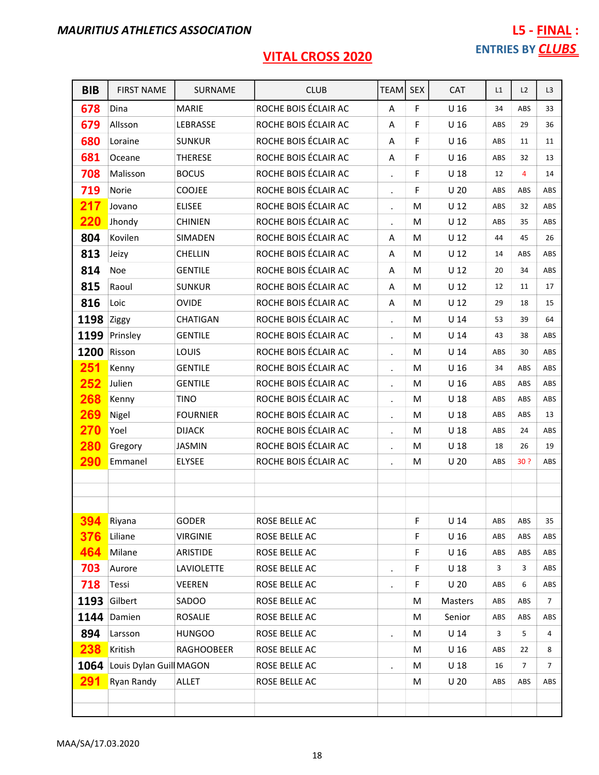| <b>BIB</b> | <b>FIRST NAME</b>       | SURNAME           | <b>CLUB</b>          | <b>TEAM</b>          | <b>SEX</b> | <b>CAT</b>      | L1  | L2             | L <sub>3</sub> |
|------------|-------------------------|-------------------|----------------------|----------------------|------------|-----------------|-----|----------------|----------------|
| 678        | Dina                    | <b>MARIE</b>      | ROCHE BOIS ÉCLAIR AC | A                    | F          | U <sub>16</sub> | 34  | ABS            | 33             |
| 679        | Allsson                 | LEBRASSE          | ROCHE BOIS ÉCLAIR AC | A                    | F          | U <sub>16</sub> | ABS | 29             | 36             |
| 680        | Loraine                 | <b>SUNKUR</b>     | ROCHE BOIS ÉCLAIR AC | A                    | F          | U <sub>16</sub> | ABS | 11             | 11             |
| 681        | Oceane                  | <b>THERESE</b>    | ROCHE BOIS ÉCLAIR AC | Α                    | F          | U <sub>16</sub> | ABS | 32             | 13             |
| 708        | Malisson                | <b>BOCUS</b>      | ROCHE BOIS ÉCLAIR AC | $\cdot$              | F          | $U$ 18          | 12  | 4              | 14             |
| 719        | Norie                   | <b>COOJEE</b>     | ROCHE BOIS ÉCLAIR AC | $\cdot$              | F          | U <sub>20</sub> | ABS | ABS            | ABS            |
| 217        | Jovano                  | <b>ELISEE</b>     | ROCHE BOIS ÉCLAIR AC | $\bullet$            | M          | U <sub>12</sub> | ABS | 32             | ABS            |
| 220        | Jhondy                  | <b>CHINIEN</b>    | ROCHE BOIS ÉCLAIR AC | $\blacksquare$       | M          | $U$ 12          | ABS | 35             | ABS            |
| 804        | Kovilen                 | SIMADEN           | ROCHE BOIS ÉCLAIR AC | Α                    | м          | $U$ 12          | 44  | 45             | 26             |
| 813        | Jeizy                   | <b>CHELLIN</b>    | ROCHE BOIS ÉCLAIR AC | A                    | M          | U <sub>12</sub> | 14  | ABS            | ABS            |
| 814        | Noe                     | <b>GENTILE</b>    | ROCHE BOIS ÉCLAIR AC | A                    | м          | U <sub>12</sub> | 20  | 34             | ABS            |
| 815        | Raoul                   | <b>SUNKUR</b>     | ROCHE BOIS ÉCLAIR AC | Α                    | M          | $U$ 12          | 12  | 11             | 17             |
| 816        | Loic                    | <b>OVIDE</b>      | ROCHE BOIS ÉCLAIR AC | Α                    | M          | $U$ 12          | 29  | 18             | 15             |
| 1198       | Ziggy                   | CHATIGAN          | ROCHE BOIS ÉCLAIR AC | $\blacksquare$       | M          | U <sub>14</sub> | 53  | 39             | 64             |
| 1199       | Prinsley                | <b>GENTILE</b>    | ROCHE BOIS ÉCLAIR AC | $\bullet$            | M          | U <sub>14</sub> | 43  | 38             | ABS            |
| 1200       | Risson                  | LOUIS             | ROCHE BOIS ÉCLAIR AC | $\bullet$            | M          | $U$ 14          | ABS | 30             | ABS            |
| 251        | Kenny                   | <b>GENTILE</b>    | ROCHE BOIS ÉCLAIR AC | $\ddot{\phantom{0}}$ | M          | U <sub>16</sub> | 34  | ABS            | ABS            |
| 252        | Julien                  | <b>GENTILE</b>    | ROCHE BOIS ÉCLAIR AC | $\bullet$            | м          | U <sub>16</sub> | ABS | ABS            | ABS            |
| 268        | Kenny                   | <b>TINO</b>       | ROCHE BOIS ÉCLAIR AC | $\cdot$              | м          | U <sub>18</sub> | ABS | ABS            | ABS            |
| 269        | Nigel                   | <b>FOURNIER</b>   | ROCHE BOIS ÉCLAIR AC | $\cdot$              | M          | $U$ 18          | ABS | ABS            | 13             |
| 270        | Yoel                    | <b>DIJACK</b>     | ROCHE BOIS ÉCLAIR AC | $\bullet$            | м          | U <sub>18</sub> | ABS | 24             | ABS            |
| 280        | Gregory                 | <b>JASMIN</b>     | ROCHE BOIS ÉCLAIR AC | $\ddot{\phantom{0}}$ | M          | U <sub>18</sub> | 18  | 26             | 19             |
| <b>290</b> | Emmanel                 | <b>ELYSEE</b>     | ROCHE BOIS ÉCLAIR AC | $\bullet$            | M          | U <sub>20</sub> | ABS | 30 ?           | ABS            |
|            |                         |                   |                      |                      |            |                 |     |                |                |
|            |                         |                   |                      |                      |            |                 |     |                |                |
| 394        | Riyana                  | <b>GODER</b>      | ROSE BELLE AC        |                      | F          | U <sub>14</sub> | ABS | ABS            | 35             |
| 376        | Liliane                 | <b>VIRGINIE</b>   | ROSE BELLE AC        |                      | F          | U <sub>16</sub> | ABS | ABS            | ABS            |
| 464        | Milane                  | ARISTIDE          | ROSE BELLE AC        |                      | F          | U <sub>16</sub> | ABS | ABS            | ABS            |
| 703        | Aurore                  | <b>LAVIOLETTE</b> | ROSE BELLE AC        | $\bullet$            | F          | U <sub>18</sub> | 3   | 3              | ABS            |
| 718        | Tessi                   | <b>VEEREN</b>     | ROSE BELLE AC        | $\bullet$            | F          | U <sub>20</sub> | ABS | 6              | ABS            |
| 1193       | Gilbert                 | SADOO             | ROSE BELLE AC        |                      | М          | Masters         | ABS | ABS            | 7              |
|            | 1144 Damien             | ROSALIE           | ROSE BELLE AC        |                      | M          | Senior          | ABS | ABS            | ABS            |
| 894        | Larsson                 | <b>HUNGOO</b>     | ROSE BELLE AC        |                      | M          | $U$ 14          | 3   | 5              | 4              |
| 238        | Kritish                 | <b>RAGHOOBEER</b> | ROSE BELLE AC        |                      | M          | U <sub>16</sub> | ABS | 22             | 8              |
| 1064       | Louis Dylan Guill MAGON |                   | ROSE BELLE AC        | $\ddot{\phantom{0}}$ | М          | U <sub>18</sub> | 16  | $\overline{7}$ | $\overline{7}$ |
| <b>291</b> | Ryan Randy              | ALLET             | ROSE BELLE AC        |                      | M          | U <sub>20</sub> | ABS | ABS            | ABS            |
|            |                         |                   |                      |                      |            |                 |     |                |                |
|            |                         |                   |                      |                      |            |                 |     |                |                |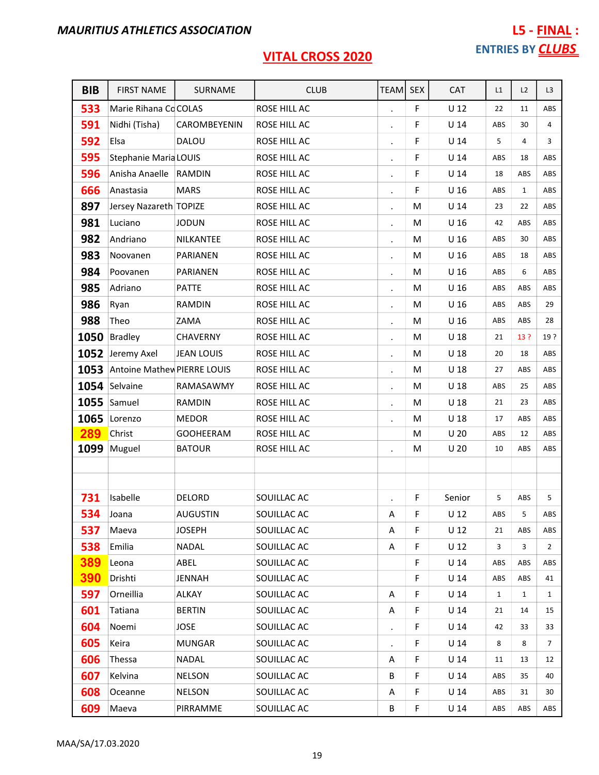| <b>BIB</b> | <b>FIRST NAME</b>            | SURNAME           | <b>CLUB</b>  | TEAM                 | <b>SEX</b> | <b>CAT</b>      | L1           | L2           | L <sub>3</sub> |
|------------|------------------------------|-------------------|--------------|----------------------|------------|-----------------|--------------|--------------|----------------|
| 533        | Marie Rihana Co COLAS        |                   | ROSE HILL AC |                      | F          | $U$ 12          | 22           | 11           | ABS            |
| 591        | Nidhi (Tisha)                | CAROMBEYENIN      | ROSE HILL AC |                      | F          | U <sub>14</sub> | ABS          | 30           | 4              |
| 592        | Elsa                         | <b>DALOU</b>      | ROSE HILL AC | $\bullet$            | F          | U <sub>14</sub> | 5            | 4            | 3              |
| 595        | <b>Stephanie Maria LOUIS</b> |                   | ROSE HILL AC |                      | F          | U <sub>14</sub> | ABS          | 18           | ABS            |
| 596        | Anisha Anaelle               | RAMDIN            | ROSE HILL AC | $\ddot{\phantom{0}}$ | F          | U <sub>14</sub> | 18           | ABS          | ABS            |
| 666        | Anastasia                    | <b>MARS</b>       | ROSE HILL AC |                      | F          | U <sub>16</sub> | ABS          | $\mathbf{1}$ | ABS            |
| 897        | Jersey Nazareth TOPIZE       |                   | ROSE HILL AC | $\bullet$            | M          | U <sub>14</sub> | 23           | 22           | ABS            |
| 981        | Luciano                      | <b>JODUN</b>      | ROSE HILL AC |                      | M          | U <sub>16</sub> | 42           | ABS          | ABS            |
| 982        | Andriano                     | NILKANTEE         | ROSE HILL AC | $\blacksquare$       | M          | U <sub>16</sub> | ABS          | 30           | ABS            |
| 983        | Noovanen                     | PARIANEN          | ROSE HILL AC | $\blacksquare$       | M          | U <sub>16</sub> | ABS          | 18           | ABS            |
| 984        | Poovanen                     | PARIANEN          | ROSE HILL AC | $\blacksquare$       | M          | U <sub>16</sub> | ABS          | 6            | ABS            |
| 985        | Adriano                      | <b>PATTE</b>      | ROSE HILL AC | $\bullet$            | M          | U <sub>16</sub> | ABS          | ABS          | ABS            |
| 986        | Ryan                         | <b>RAMDIN</b>     | ROSE HILL AC |                      | M          | U <sub>16</sub> | ABS          | ABS          | 29             |
| 988        | Theo                         | ZAMA              | ROSE HILL AC | $\blacksquare$       | M          | U <sub>16</sub> | ABS          | ABS          | 28             |
| 1050       | <b>Bradley</b>               | <b>CHAVERNY</b>   | ROSE HILL AC | $\ddot{\phantom{0}}$ | M          | U <sub>18</sub> | 21           | 13 ?         | 19?            |
|            | 1052 Jeremy Axel             | <b>JEAN LOUIS</b> | ROSE HILL AC | $\blacksquare$       | M          | U <sub>18</sub> | 20           | 18           | ABS            |
| 1053       | Antoine Mathew PIERRE LOUIS  |                   | ROSE HILL AC |                      | M          | U <sub>18</sub> | 27           | ABS          | ABS            |
|            | 1054 Selvaine                | RAMASAWMY         | ROSE HILL AC | $\bullet$            | M          | $U$ 18          | ABS          | 25           | ABS            |
| 1055       | Samuel                       | RAMDIN            | ROSE HILL AC | $\bullet$            | M          | $U$ 18          | 21           | 23           | ABS            |
| 1065       | Lorenzo                      | <b>MEDOR</b>      | ROSE HILL AC | $\cdot$              | M          | U <sub>18</sub> | 17           | ABS          | ABS            |
| 289        | Christ                       | <b>GOOHEERAM</b>  | ROSE HILL AC |                      | M          | U <sub>20</sub> | ABS          | 12           | ABS            |
| 1099       | Muguel                       | <b>BATOUR</b>     | ROSE HILL AC |                      | M          | U <sub>20</sub> | 10           | ABS          | ABS            |
|            |                              |                   |              |                      |            |                 |              |              |                |
| 731        | Isabelle                     | <b>DELORD</b>     | SOUILLAC AC  |                      | F          | Senior          | 5            | ABS          | 5              |
| 534        | Joana                        | <b>AUGUSTIN</b>   | SOUILLAC AC  | A                    | F          | U <sub>12</sub> | ABS          | 5            | ${\sf ABS}$    |
| 537        | Maeva                        | <b>JOSEPH</b>     | SOUILLAC AC  | A                    | F.         | U <sub>12</sub> | 21           | ABS          | ABS            |
| 538        | Emilia                       | NADAL             | SOUILLAC AC  | Α                    | F          | $U$ 12          | 3            | 3            | $\overline{2}$ |
| 389        | Leona                        | ABEL              | SOUILLAC AC  |                      | F          | $U$ 14          | ABS          | ABS          | ABS            |
| 390        | Drishti                      | JENNAH            | SOUILLAC AC  |                      | F          | U <sub>14</sub> | ABS          | ABS          | 41             |
| 597        | Orneillia                    | ALKAY             | SOUILLAC AC  | Α                    | F          | $U$ 14          | $\mathbf{1}$ | 1            | $\mathbf{1}$   |
| 601        | Tatiana                      | <b>BERTIN</b>     | SOUILLAC AC  | Α                    | F          | $U$ 14          | 21           | 14           | 15             |
| 604        | Noemi                        | <b>JOSE</b>       | SOUILLAC AC  | $\bullet$            | F          | $U$ 14          | 42           | 33           | 33             |
| 605        | Keira                        | <b>MUNGAR</b>     | SOUILLAC AC  |                      | F          | $U$ 14          | 8            | 8            | $\overline{7}$ |
| 606        | Thessa                       | NADAL             | SOUILLAC AC  | Α                    | F.         | U <sub>14</sub> | 11           | 13           | 12             |
| 607        | Kelvina                      | <b>NELSON</b>     | SOUILLAC AC  | B                    | F          | $U$ 14          | ABS          | 35           | 40             |
| 608        | Oceanne                      | <b>NELSON</b>     | SOUILLAC AC  | A                    | F          | $U$ 14          | ABS          | 31           | 30             |
| 609        | Maeva                        | PIRRAMME          | SOUILLAC AC  | В                    | F          | $U$ 14          | ABS          | ABS          | ABS            |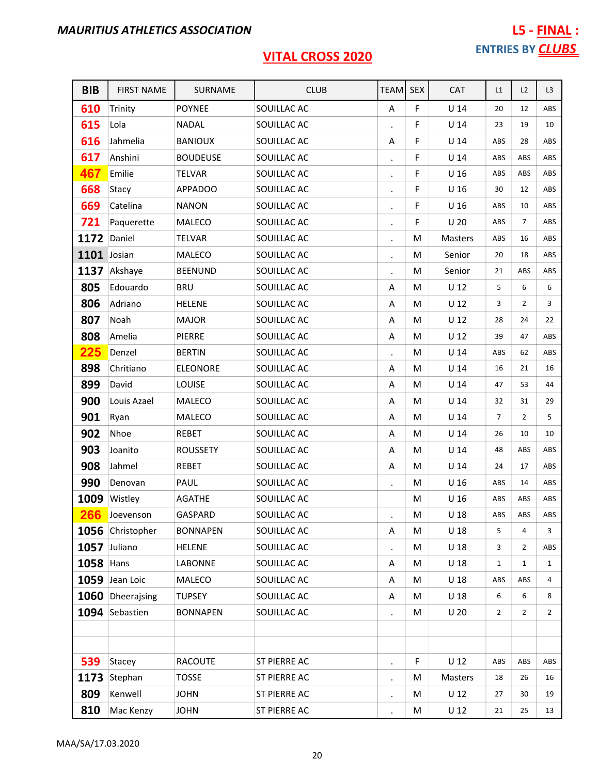# L5 - FINAL : ENTRIES BY **CLUBS**

| <b>BIB</b>  | <b>FIRST NAME</b> | SURNAME         | <b>CLUB</b>  | <b>TEAMI</b>   | <b>SEX</b> | <b>CAT</b>      | L1             | L2             | L3           |
|-------------|-------------------|-----------------|--------------|----------------|------------|-----------------|----------------|----------------|--------------|
| 610         | Trinity           | <b>POYNEE</b>   | SOUILLAC AC  | Α              | F          | $U$ 14          | 20             | 12             | ABS          |
| 615         | Lola              | <b>NADAL</b>    | SOUILLAC AC  |                | F          | U <sub>14</sub> | 23             | 19             | 10           |
| 616         | Jahmelia          | <b>BANIOUX</b>  | SOUILLAC AC  | Α              | F          | U <sub>14</sub> | ABS            | 28             | ABS          |
| 617         | Anshini           | <b>BOUDEUSE</b> | SOUILLAC AC  |                | F          | $U$ 14          | ABS            | ABS            | ABS          |
| 467         | Emilie            | <b>TELVAR</b>   | SOUILLAC AC  |                | F          | U <sub>16</sub> | ABS            | ABS            | ABS          |
| 668         | Stacy             | <b>APPADOO</b>  | SOUILLAC AC  |                | F          | U <sub>16</sub> | 30             | 12             | ABS          |
| 669         | Catelina          | <b>NANON</b>    | SOUILLAC AC  |                | F          | U <sub>16</sub> | ABS            | 10             | ABS          |
| 721         | Paquerette        | MALECO          | SOUILLAC AC  |                | F          | U <sub>20</sub> | ABS            | $\overline{7}$ | ABS          |
| 1172        | Daniel            | <b>TELVAR</b>   | SOUILLAC AC  |                | M          | Masters         | ABS            | 16             | ABS          |
| 1101 Josian |                   | MALECO          | SOUILLAC AC  | $\cdot$        | M          | Senior          | 20             | 18             | ABS          |
|             | 1137 Akshaye      | <b>BEENUND</b>  | SOUILLAC AC  |                | M          | Senior          | 21             | ABS            | ABS          |
| 805         | Edouardo          | <b>BRU</b>      | SOUILLAC AC  | Α              | M          | U <sub>12</sub> | 5              | 6              | 6            |
| 806         | Adriano           | <b>HELENE</b>   | SOUILLAC AC  | Α              | M          | U <sub>12</sub> | 3              | $\overline{2}$ | 3            |
| 807         | Noah              | <b>MAJOR</b>    | SOUILLAC AC  | Α              | M          | $U$ 12          | 28             | 24             | 22           |
| 808         | Amelia            | <b>PIERRE</b>   | SOUILLAC AC  | Α              | M          | U <sub>12</sub> | 39             | 47             | ABS          |
| 225         | Denzel            | <b>BERTIN</b>   | SOUILLAC AC  |                | M          | U <sub>14</sub> | ABS            | 62             | ABS          |
| 898         | Chritiano         | <b>ELEONORE</b> | SOUILLAC AC  | Α              | M          | $U$ 14          | 16             | 21             | 16           |
| 899         | David             | LOUISE          | SOUILLAC AC  | Α              | M          | U <sub>14</sub> | 47             | 53             | 44           |
| 900         | Louis Azael       | MALECO          | SOUILLAC AC  | Α              | M          | $U$ 14          | 32             | 31             | 29           |
| 901         | Ryan              | MALECO          | SOUILLAC AC  | Α              | M          | U <sub>14</sub> | $\overline{7}$ | $\overline{2}$ | 5            |
| 902         | Nhoe              | <b>REBET</b>    | SOUILLAC AC  | Α              | M          | U <sub>14</sub> | 26             | 10             | 10           |
| 903         | Joanito           | <b>ROUSSETY</b> | SOUILLAC AC  | Α              | M          | U <sub>14</sub> | 48             | ABS            | ABS          |
| 908         | Jahmel            | <b>REBET</b>    | SOUILLAC AC  | Α              | M          | U <sub>14</sub> | 24             | 17             | ABS          |
| 990         | Denovan           | PAUL            | SOUILLAC AC  |                | M          | U <sub>16</sub> | ABS            | 14             | ABS          |
| 1009        | Wistley           | <b>AGATHE</b>   | SOUILLAC AC  |                | M          | U <sub>16</sub> | ABS            | ABS            | ABS          |
|             | 266 Joevenson     | GASPARD         | SOUILLAC AC  |                | M          | U <sub>18</sub> | ABS            | ABS            | ABS          |
|             | 1056 Christopher  | <b>BONNAPEN</b> | SOUILLAC AC  | Α              | M          | U <sub>18</sub> | 5              | 4              | 3            |
|             | 1057 Juliano      | <b>HELENE</b>   | SOUILLAC AC  |                | M          | U <sub>18</sub> | 3              | 2              | ABS          |
| 1058 Hans   |                   | LABONNE         | SOUILLAC AC  | Α              | М          | U <sub>18</sub> | $\mathbf{1}$   | $\mathbf{1}$   | $\mathbf{1}$ |
|             | 1059 Jean Loic    | MALECO          | SOUILLAC AC  | A              | М          | U <sub>18</sub> | ABS            | ABS            | 4            |
|             | 1060 Dheerajsing  | <b>TUPSEY</b>   | SOUILLAC AC  | Α              | M          | U <sub>18</sub> | 6              | 6              | 8            |
|             | 1094 Sebastien    | <b>BONNAPEN</b> | SOUILLAC AC  |                | M          | U <sub>20</sub> | $\overline{2}$ | 2              | 2            |
|             |                   |                 |              |                |            |                 |                |                |              |
|             |                   |                 |              |                |            |                 |                |                |              |
| 539         | Stacey            | <b>RACOUTE</b>  | ST PIERRE AC | $\blacksquare$ | F          | $U$ 12          | ABS            | ABS            | ABS          |
| 1173        | Stephan           | <b>TOSSE</b>    | ST PIERRE AC |                | M          | Masters         | 18             | 26             | 16           |
| 809         | Kenwell           | <b>JOHN</b>     | ST PIERRE AC |                | м          | $U$ 12          | 27             | 30             | 19           |
| 810         | Mac Kenzy         | <b>JOHN</b>     | ST PIERRE AC |                | M          | U <sub>12</sub> | 21             | 25             | 13           |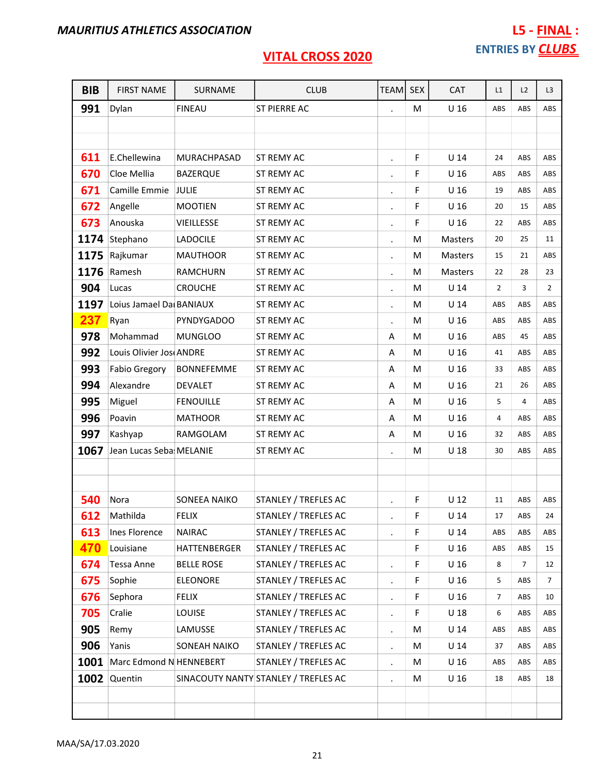| <b>BIB</b> | <b>FIRST NAME</b>        | SURNAME           | <b>CLUB</b>                          | <b>TEAM</b>          | <b>SEX</b> | CAT             | L1             | L2             | L <sub>3</sub> |
|------------|--------------------------|-------------------|--------------------------------------|----------------------|------------|-----------------|----------------|----------------|----------------|
| 991        | Dylan                    | <b>FINEAU</b>     | ST PIERRE AC                         |                      | M          | U <sub>16</sub> | ABS            | ABS            | ABS            |
|            |                          |                   |                                      |                      |            |                 |                |                |                |
|            |                          |                   |                                      |                      |            |                 |                |                |                |
| 611        | E.Chellewina             | MURACHPASAD       | <b>ST REMY AC</b>                    |                      | F          | U <sub>14</sub> | 24             | ABS            | ABS            |
| 670        | Cloe Mellia              | <b>BAZERQUE</b>   | ST REMY AC                           | $\blacksquare$       | F          | U <sub>16</sub> | ABS            | ABS            | ABS            |
| 671        | Camille Emmie            | JULIE             | ST REMY AC                           | $\bullet$            | F          | U <sub>16</sub> | 19             | ABS            | ABS            |
| 672        | Angelle                  | <b>MOOTIEN</b>    | ST REMY AC                           | $\bullet$            | F          | U <sub>16</sub> | 20             | 15             | ABS            |
| 673        | Anouska                  | VIEILLESSE        | ST REMY AC                           |                      | F          | U <sub>16</sub> | 22             | ABS            | ABS            |
| 1174       | Stephano                 | <b>LADOCILE</b>   | ST REMY AC                           | $\bullet$            | м          | Masters         | 20             | 25             | 11             |
| 1175       | Rajkumar                 | <b>MAUTHOOR</b>   | ST REMY AC                           | $\ddot{\phantom{0}}$ | M          | Masters         | 15             | 21             | ABS            |
| 1176       | Ramesh                   | <b>RAMCHURN</b>   | ST REMY AC                           | $\cdot$              | М          | <b>Masters</b>  | 22             | 28             | 23             |
| 904        | Lucas                    | <b>CROUCHE</b>    | ST REMY AC                           | $\bullet$            | M          | U 14            | $\overline{2}$ | 3              | $\overline{2}$ |
| 1197       | Loius Jamael Dai BANIAUX |                   | ST REMY AC                           |                      | M          | U <sub>14</sub> | ABS            | ABS            | ABS            |
| 237        | Ryan                     | <b>PYNDYGADOO</b> | <b>ST REMY AC</b>                    | $\blacksquare$       | M          | U <sub>16</sub> | ABS            | ABS            | ABS            |
| 978        | Mohammad                 | <b>MUNGLOO</b>    | ST REMY AC                           | Α                    | M          | U 16            | ABS            | 45             | ABS            |
| 992        | Louis Olivier Jos ANDRE  |                   | ST REMY AC                           | Α                    | M          | U <sub>16</sub> | 41             | ABS            | ABS            |
| 993        | <b>Fabio Gregory</b>     | <b>BONNEFEMME</b> | ST REMY AC                           | Α                    | M          | U <sub>16</sub> | 33             | ABS            | ABS            |
| 994        | Alexandre                | <b>DEVALET</b>    | <b>ST REMY AC</b>                    | A                    | M          | U <sub>16</sub> | 21             | 26             | ABS            |
| 995        | Miguel                   | <b>FENOUILLE</b>  | ST REMY AC                           | Α                    | M          | U <sub>16</sub> | 5              | 4              | ABS            |
| 996        | Poavin                   | <b>MATHOOR</b>    | ST REMY AC                           | A                    | M          | U <sub>16</sub> | 4              | ABS            | ABS            |
| 997        | Kashyap                  | RAMGOLAM          | ST REMY AC                           | A                    | M          | U <sub>16</sub> | 32             | ABS            | ABS            |
| 1067       | Jean Lucas Seba MELANIE  |                   | ST REMY AC                           |                      | M          | U <sub>18</sub> | 30             | ABS            | ABS            |
|            |                          |                   |                                      |                      |            |                 |                |                |                |
|            |                          |                   |                                      |                      |            |                 |                |                |                |
| 540        | Nora                     | SONEEA NAIKO      | STANLEY / TREFLES AC                 | $\ddot{\phantom{0}}$ | F          | $U$ 12          | 11             | ABS            | ABS            |
| 612        | Mathilda                 | <b>FELIX</b>      | STANLEY / TREFLES AC                 |                      | F          | $U$ 14          | 17             | ABS            | 24             |
| 613        | Ines Florence            | <b>NAIRAC</b>     | STANLEY / TREFLES AC                 |                      | F          | U <sub>14</sub> | ABS            | ABS            | ABS            |
| 470        | Louisiane                | HATTENBERGER      | STANLEY / TREFLES AC                 |                      | F          | U <sub>16</sub> | ABS            | ABS            | 15             |
| 674        | <b>Tessa Anne</b>        | <b>BELLE ROSE</b> | STANLEY / TREFLES AC                 | $\bullet$            | F          | U <sub>16</sub> | 8              | $\overline{7}$ | 12             |
| 675        | Sophie                   | <b>ELEONORE</b>   | STANLEY / TREFLES AC                 | $\blacksquare$       | F          | U <sub>16</sub> | 5              | ABS            | $\overline{7}$ |
| 676        | Sephora                  | <b>FELIX</b>      | STANLEY / TREFLES AC                 | $\blacksquare$       | F          | U <sub>16</sub> | $\overline{7}$ | ABS            | 10             |
| 705        | Cralie                   | <b>LOUISE</b>     | STANLEY / TREFLES AC                 | $\bullet$            | F          | U <sub>18</sub> | 6              | ABS            | ABS            |
| 905        | Remy                     | LAMUSSE           | STANLEY / TREFLES AC                 | $\bullet$            | М          | $U$ 14          | ABS            | ABS            | ABS            |
| 906        | Yanis                    | SONEAH NAIKO      | STANLEY / TREFLES AC                 | $\bullet$            | M          | $U$ 14          | 37             | ABS            | ABS            |
| 1001       | Marc Edmond N HENNEBERT  |                   | STANLEY / TREFLES AC                 | $\blacksquare$       | М          | U <sub>16</sub> | ABS            | ABS            | ABS            |
| 1002       | Quentin                  |                   | SINACOUTY NANTY STANLEY / TREFLES AC | $\ddot{\phantom{0}}$ | M          | U <sub>16</sub> | 18             | ABS            | 18             |
|            |                          |                   |                                      |                      |            |                 |                |                |                |
|            |                          |                   |                                      |                      |            |                 |                |                |                |